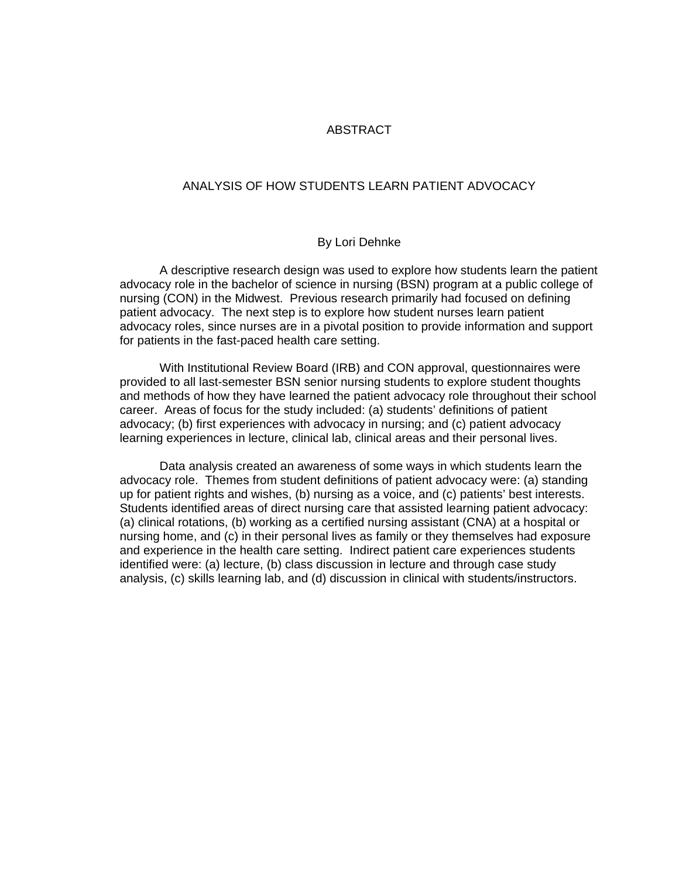## ABSTRACT

## ANALYSIS OF HOW STUDENTS LEARN PATIENT ADVOCACY

## By Lori Dehnke

 A descriptive research design was used to explore how students learn the patient advocacy role in the bachelor of science in nursing (BSN) program at a public college of nursing (CON) in the Midwest. Previous research primarily had focused on defining patient advocacy. The next step is to explore how student nurses learn patient advocacy roles, since nurses are in a pivotal position to provide information and support for patients in the fast-paced health care setting.

 With Institutional Review Board (IRB) and CON approval, questionnaires were provided to all last-semester BSN senior nursing students to explore student thoughts and methods of how they have learned the patient advocacy role throughout their school career. Areas of focus for the study included: (a) students' definitions of patient advocacy; (b) first experiences with advocacy in nursing; and (c) patient advocacy learning experiences in lecture, clinical lab, clinical areas and their personal lives.

 Data analysis created an awareness of some ways in which students learn the advocacy role. Themes from student definitions of patient advocacy were: (a) standing up for patient rights and wishes, (b) nursing as a voice, and (c) patients' best interests. Students identified areas of direct nursing care that assisted learning patient advocacy: (a) clinical rotations, (b) working as a certified nursing assistant (CNA) at a hospital or nursing home, and (c) in their personal lives as family or they themselves had exposure and experience in the health care setting. Indirect patient care experiences students identified were: (a) lecture, (b) class discussion in lecture and through case study analysis, (c) skills learning lab, and (d) discussion in clinical with students/instructors.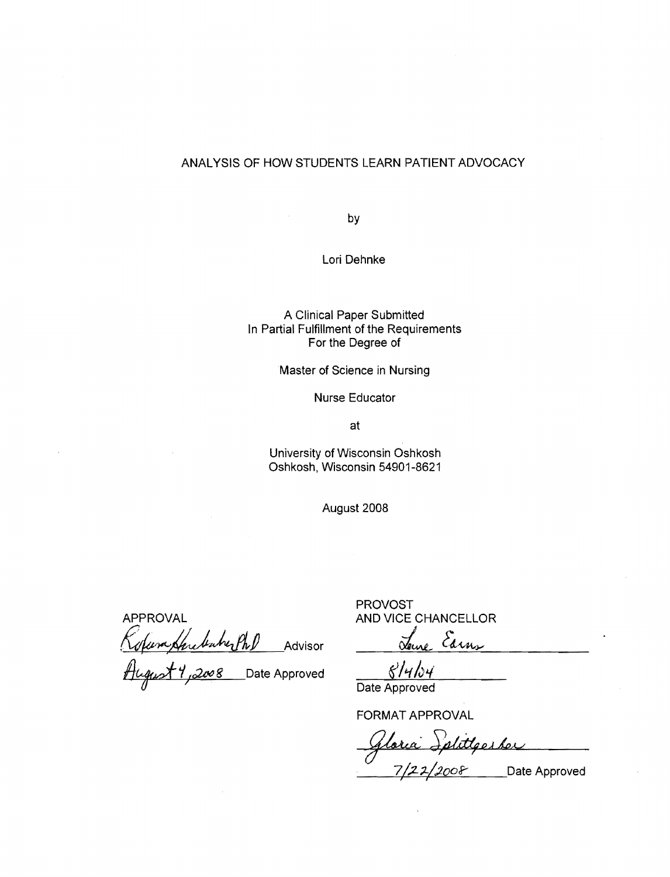## ANALYSIS OF HOW STUDENTS LEARN PATIENT ADVOCACY

by

Lori Dehnke

A Clinical Paper Submitted In Partial Fulfillment of the Requirements For the Degree of

Master of Science in Nursing

Nurse Educator

at

University of Wisconsin Oshkosh Oshkosh. Wisconsin 54901-8621

August 2008

APPROVAL AND VICE CHANCELLOR AND VICE CHANCELLOR<br>*Refuns Here basher Ph.D* Advisor Seine Earns

August 1,2008 Date Approved <u>8/4/04</u>

PROVOST

Date Approved

FORMAT APPROVAL

Gloria Splittgesber 7*/22/2008* \_\_\_\_\_Date Approved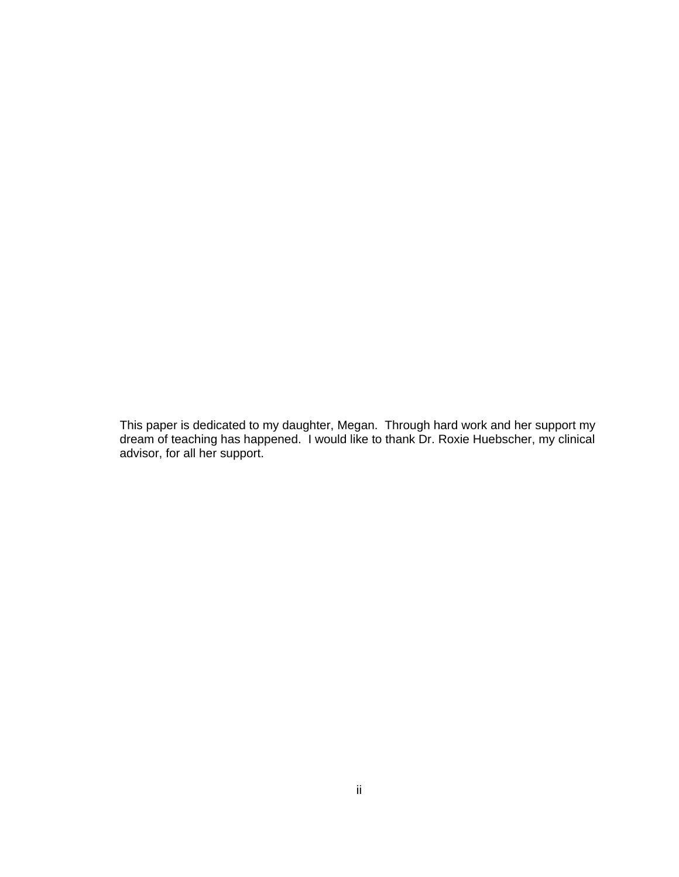This paper is dedicated to my daughter, Megan. Through hard work and her support my dream of teaching has happened. I would like to thank Dr. Roxie Huebscher, my clinical advisor, for all her support.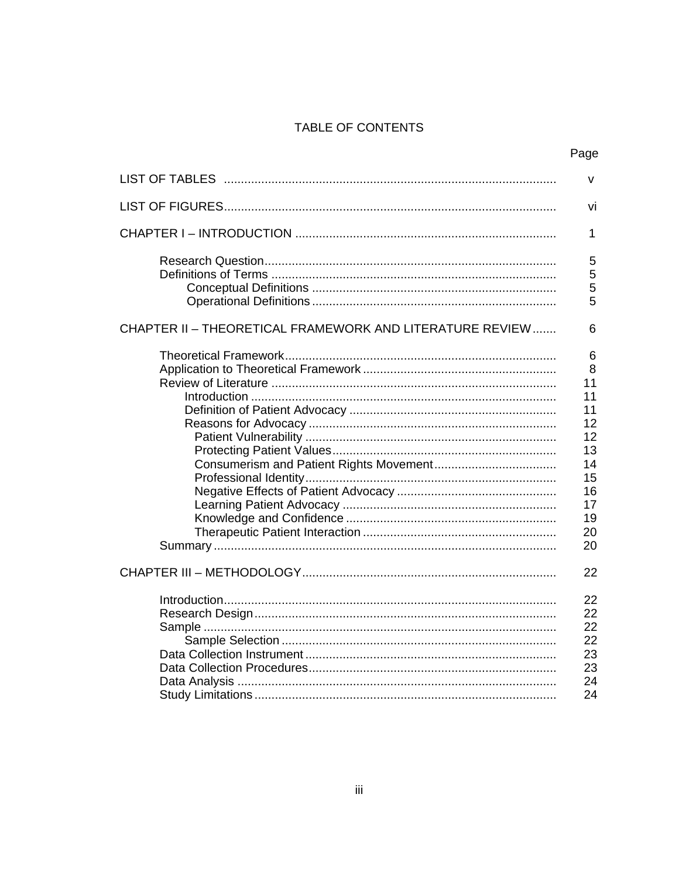# TABLE OF CONTENTS

|                                                          | Page                                                                                 |
|----------------------------------------------------------|--------------------------------------------------------------------------------------|
|                                                          | v                                                                                    |
|                                                          | vi                                                                                   |
|                                                          | 1                                                                                    |
|                                                          | 5<br>5<br>5<br>5                                                                     |
| CHAPTER II - THEORETICAL FRAMEWORK AND LITERATURE REVIEW | 6                                                                                    |
|                                                          | 6<br>8<br>11<br>11<br>11<br>12<br>12<br>13<br>14<br>15<br>16<br>17<br>19<br>20<br>20 |
|                                                          | 22                                                                                   |
|                                                          | 22<br>22<br>22<br>22<br>23<br>23<br>24<br>24                                         |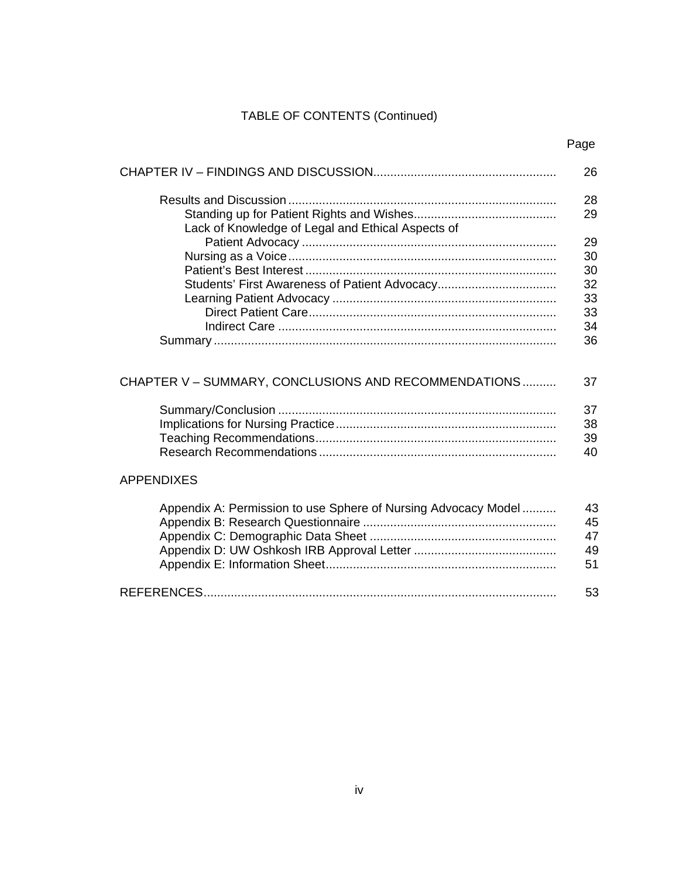# TABLE OF CONTENTS (Continued)

Page

|                                                                | 26       |
|----------------------------------------------------------------|----------|
| Lack of Knowledge of Legal and Ethical Aspects of              | 28<br>29 |
|                                                                | 29       |
|                                                                | 30       |
|                                                                | 30       |
|                                                                | 32       |
|                                                                | 33       |
|                                                                | 33       |
|                                                                | 34       |
|                                                                | 36       |
| CHAPTER V – SUMMARY, CONCLUSIONS AND RECOMMENDATIONS           | 37       |
|                                                                | 37       |
|                                                                | 38       |
|                                                                | 39       |
|                                                                | 40       |
| <b>APPENDIXES</b>                                              |          |
| Appendix A: Permission to use Sphere of Nursing Advocacy Model | 43<br>45 |
|                                                                | 47       |
|                                                                | 49       |
|                                                                | 51       |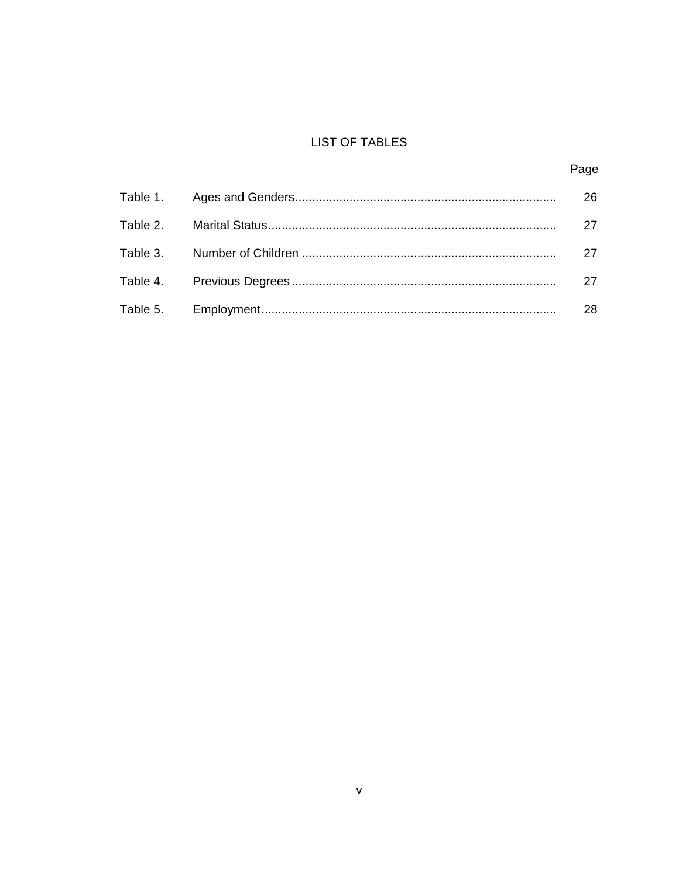# **LIST OF TABLES**

# Page

|  | 26 |
|--|----|
|  | 27 |
|  | 27 |
|  | 27 |
|  | 28 |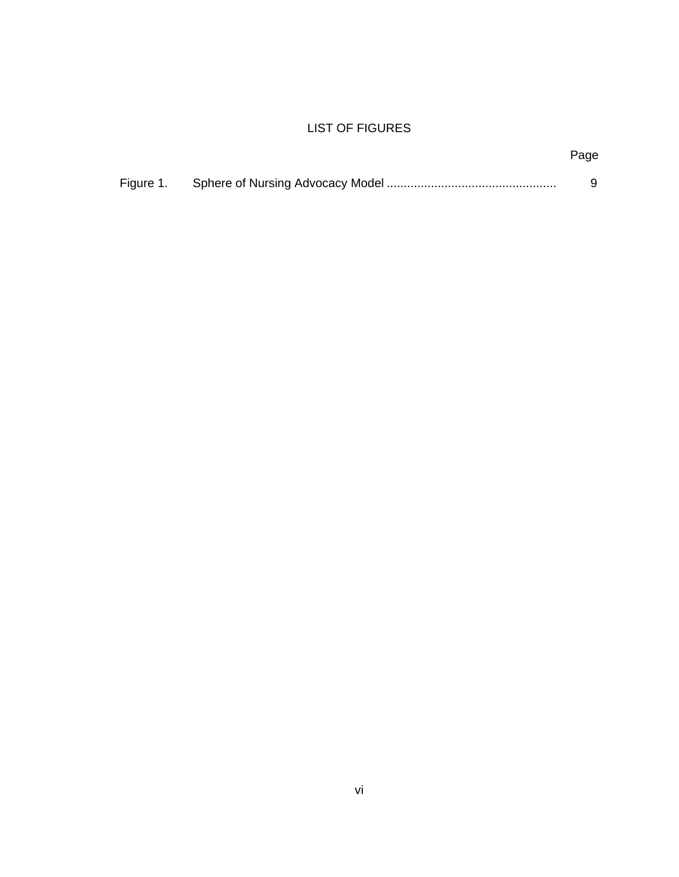# LIST OF FIGURES

# Page

| Figure 1. |  |  |
|-----------|--|--|
|-----------|--|--|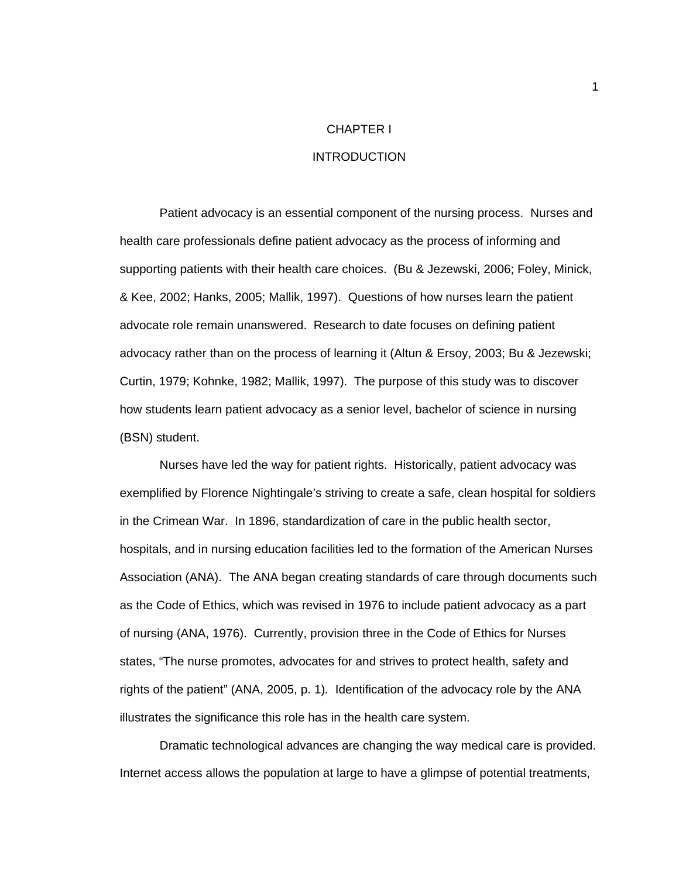#### CHAPTER I

#### INTRODUCTION

Patient advocacy is an essential component of the nursing process. Nurses and health care professionals define patient advocacy as the process of informing and supporting patients with their health care choices. (Bu & Jezewski, 2006; Foley, Minick, & Kee, 2002; Hanks, 2005; Mallik, 1997). Questions of how nurses learn the patient advocate role remain unanswered. Research to date focuses on defining patient advocacy rather than on the process of learning it (Altun & Ersoy, 2003; Bu & Jezewski; Curtin, 1979; Kohnke, 1982; Mallik, 1997). The purpose of this study was to discover how students learn patient advocacy as a senior level, bachelor of science in nursing (BSN) student.

Nurses have led the way for patient rights. Historically, patient advocacy was exemplified by Florence Nightingale's striving to create a safe, clean hospital for soldiers in the Crimean War. In 1896, standardization of care in the public health sector, hospitals, and in nursing education facilities led to the formation of the American Nurses Association (ANA). The ANA began creating standards of care through documents such as the Code of Ethics, which was revised in 1976 to include patient advocacy as a part of nursing (ANA, 1976). Currently, provision three in the Code of Ethics for Nurses states, "The nurse promotes, advocates for and strives to protect health, safety and rights of the patient" (ANA, 2005, p. 1)*.* Identification of the advocacy role by the ANA illustrates the significance this role has in the health care system.

Dramatic technological advances are changing the way medical care is provided. Internet access allows the population at large to have a glimpse of potential treatments,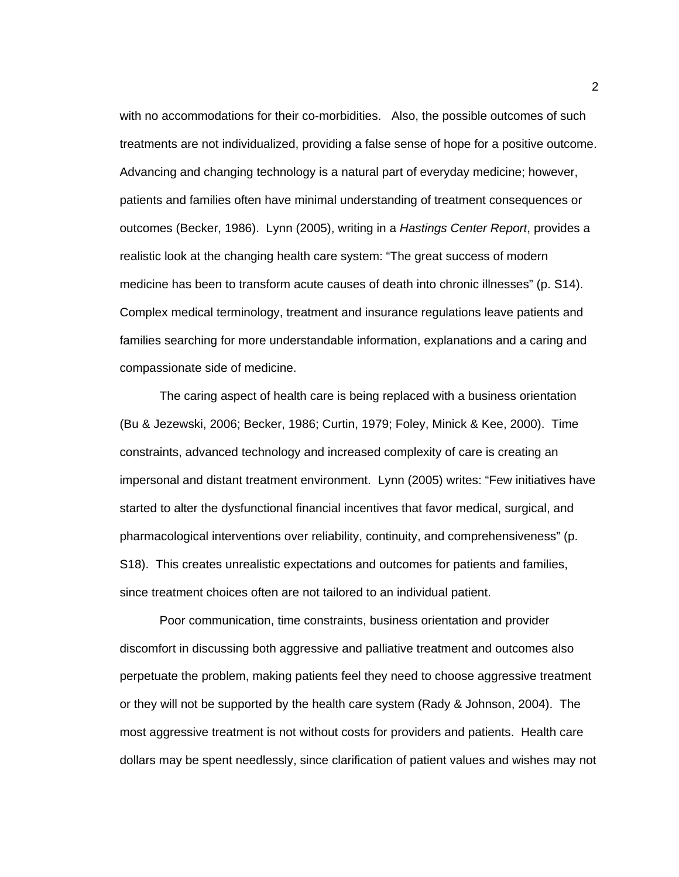with no accommodations for their co-morbidities. Also, the possible outcomes of such treatments are not individualized, providing a false sense of hope for a positive outcome. Advancing and changing technology is a natural part of everyday medicine; however, patients and families often have minimal understanding of treatment consequences or outcomes (Becker, 1986). Lynn (2005), writing in a *Hastings Center Report*, provides a realistic look at the changing health care system: "The great success of modern medicine has been to transform acute causes of death into chronic illnesses" (p. S14). Complex medical terminology, treatment and insurance regulations leave patients and families searching for more understandable information, explanations and a caring and compassionate side of medicine.

The caring aspect of health care is being replaced with a business orientation (Bu & Jezewski, 2006; Becker, 1986; Curtin, 1979; Foley, Minick & Kee, 2000). Time constraints, advanced technology and increased complexity of care is creating an impersonal and distant treatment environment. Lynn (2005) writes: "Few initiatives have started to alter the dysfunctional financial incentives that favor medical, surgical, and pharmacological interventions over reliability, continuity, and comprehensiveness" (p. S18). This creates unrealistic expectations and outcomes for patients and families, since treatment choices often are not tailored to an individual patient.

Poor communication, time constraints, business orientation and provider discomfort in discussing both aggressive and palliative treatment and outcomes also perpetuate the problem, making patients feel they need to choose aggressive treatment or they will not be supported by the health care system (Rady & Johnson, 2004). The most aggressive treatment is not without costs for providers and patients. Health care dollars may be spent needlessly, since clarification of patient values and wishes may not

2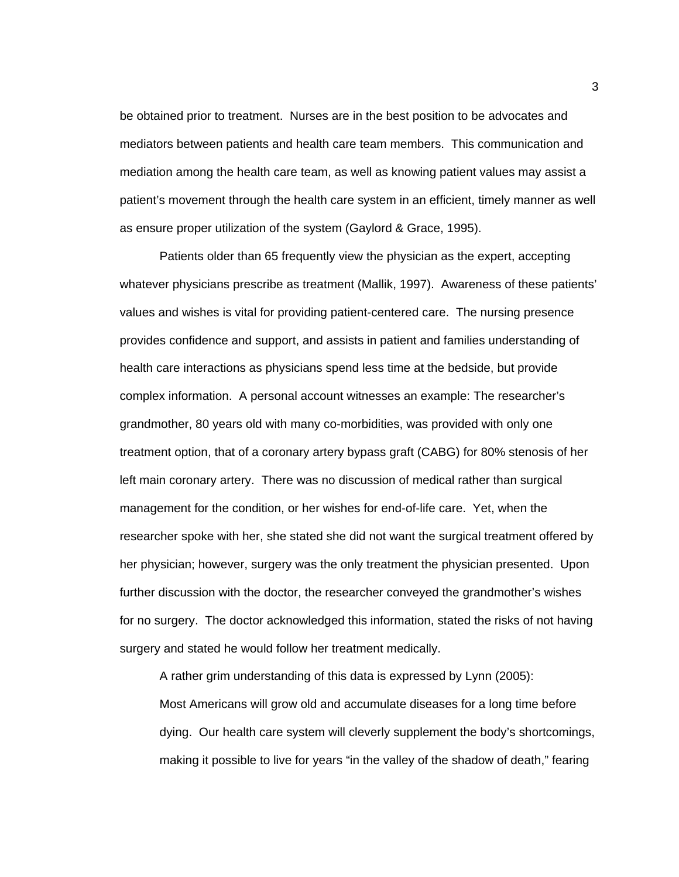be obtained prior to treatment. Nurses are in the best position to be advocates and mediators between patients and health care team members. This communication and mediation among the health care team, as well as knowing patient values may assist a patient's movement through the health care system in an efficient, timely manner as well as ensure proper utilization of the system (Gaylord & Grace, 1995).

Patients older than 65 frequently view the physician as the expert, accepting whatever physicians prescribe as treatment (Mallik, 1997). Awareness of these patients' values and wishes is vital for providing patient-centered care. The nursing presence provides confidence and support, and assists in patient and families understanding of health care interactions as physicians spend less time at the bedside, but provide complex information. A personal account witnesses an example: The researcher's grandmother, 80 years old with many co-morbidities, was provided with only one treatment option, that of a coronary artery bypass graft (CABG) for 80% stenosis of her left main coronary artery. There was no discussion of medical rather than surgical management for the condition, or her wishes for end-of-life care. Yet, when the researcher spoke with her, she stated she did not want the surgical treatment offered by her physician; however, surgery was the only treatment the physician presented. Upon further discussion with the doctor, the researcher conveyed the grandmother's wishes for no surgery. The doctor acknowledged this information, stated the risks of not having surgery and stated he would follow her treatment medically.

A rather grim understanding of this data is expressed by Lynn (2005): Most Americans will grow old and accumulate diseases for a long time before dying. Our health care system will cleverly supplement the body's shortcomings, making it possible to live for years "in the valley of the shadow of death," fearing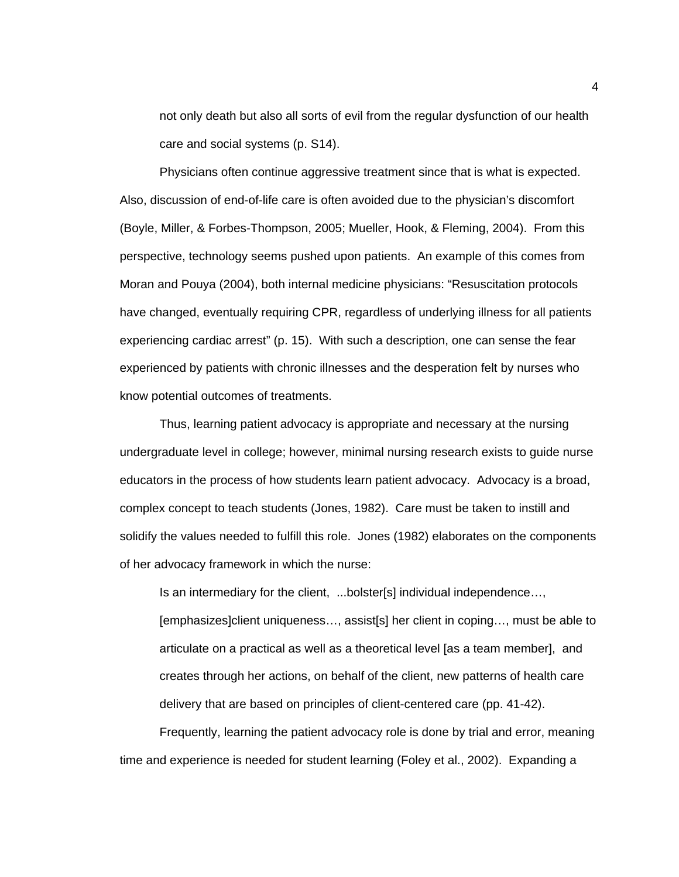not only death but also all sorts of evil from the regular dysfunction of our health care and social systems (p. S14).

Physicians often continue aggressive treatment since that is what is expected. Also, discussion of end-of-life care is often avoided due to the physician's discomfort (Boyle, Miller, & Forbes-Thompson, 2005; Mueller, Hook, & Fleming, 2004). From this perspective, technology seems pushed upon patients. An example of this comes from Moran and Pouya (2004), both internal medicine physicians: "Resuscitation protocols have changed, eventually requiring CPR, regardless of underlying illness for all patients experiencing cardiac arrest" (p. 15). With such a description, one can sense the fear experienced by patients with chronic illnesses and the desperation felt by nurses who know potential outcomes of treatments.

Thus, learning patient advocacy is appropriate and necessary at the nursing undergraduate level in college; however, minimal nursing research exists to guide nurse educators in the process of how students learn patient advocacy. Advocacy is a broad, complex concept to teach students (Jones, 1982). Care must be taken to instill and solidify the values needed to fulfill this role. Jones (1982) elaborates on the components of her advocacy framework in which the nurse:

Is an intermediary for the client, ...bolster[s] individual independence…,

 [emphasizes]client uniqueness…, assist[s] her client in coping…, must be able to articulate on a practical as well as a theoretical level [as a team member], and creates through her actions, on behalf of the client, new patterns of health care delivery that are based on principles of client-centered care (pp. 41-42).

Frequently, learning the patient advocacy role is done by trial and error, meaning time and experience is needed for student learning (Foley et al., 2002). Expanding a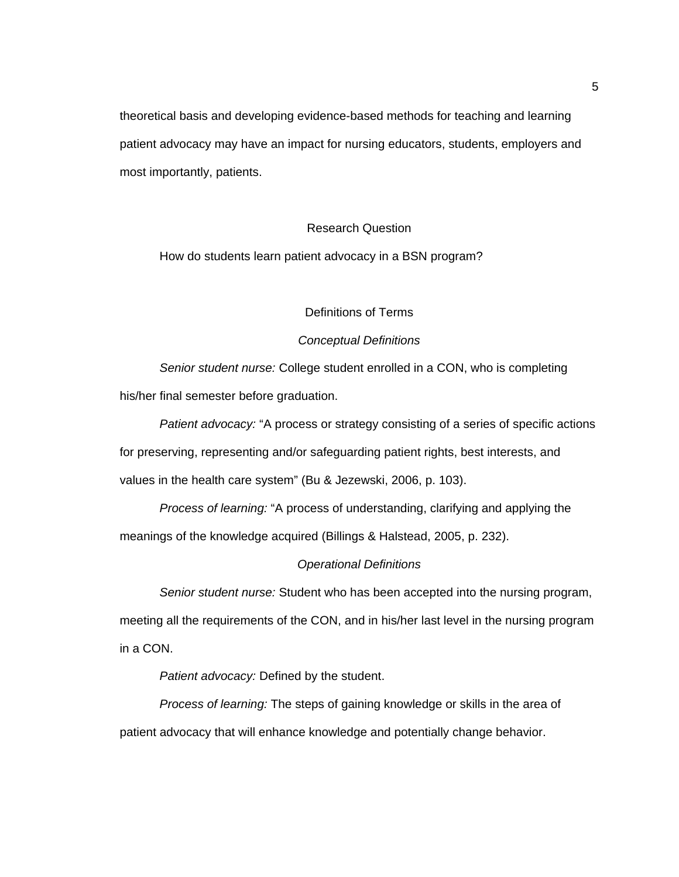theoretical basis and developing evidence-based methods for teaching and learning patient advocacy may have an impact for nursing educators, students, employers and most importantly, patients.

## Research Question

How do students learn patient advocacy in a BSN program?

## Definitions of Terms

## *Conceptual Definitions*

*Senior student nurse:* College student enrolled in a CON, who is completing his/her final semester before graduation.

*Patient advocacy:* "A process or strategy consisting of a series of specific actions for preserving, representing and/or safeguarding patient rights, best interests, and values in the health care system" (Bu & Jezewski, 2006, p. 103).

*Process of learning:* "A process of understanding, clarifying and applying the meanings of the knowledge acquired (Billings & Halstead, 2005, p. 232).

### *Operational Definitions*

*Senior student nurse:* Student who has been accepted into the nursing program,

meeting all the requirements of the CON, and in his/her last level in the nursing program in a CON.

*Patient advocacy:* Defined by the student.

*Process of learning:* The steps of gaining knowledge or skills in the area of patient advocacy that will enhance knowledge and potentially change behavior.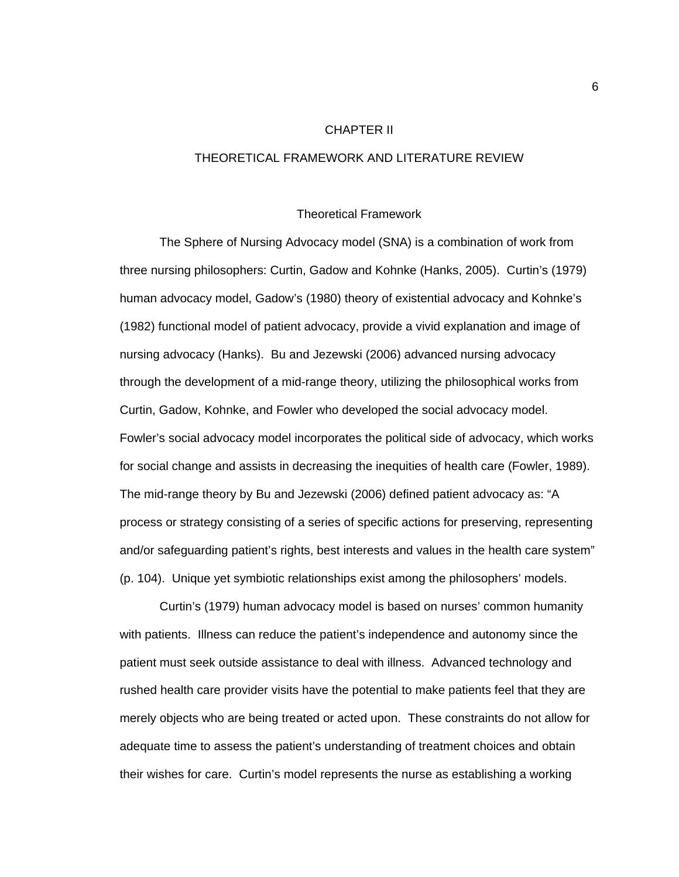### CHAPTER II

## THEORETICAL FRAMEWORK AND LITERATURE REVIEW

#### Theoretical Framework

 The Sphere of Nursing Advocacy model (SNA) is a combination of work from three nursing philosophers: Curtin, Gadow and Kohnke (Hanks, 2005). Curtin's (1979) human advocacy model, Gadow's (1980) theory of existential advocacy and Kohnke's (1982) functional model of patient advocacy, provide a vivid explanation and image of nursing advocacy (Hanks). Bu and Jezewski (2006) advanced nursing advocacy through the development of a mid-range theory, utilizing the philosophical works from Curtin, Gadow, Kohnke, and Fowler who developed the social advocacy model. Fowler's social advocacy model incorporates the political side of advocacy, which works for social change and assists in decreasing the inequities of health care (Fowler, 1989). The mid-range theory by Bu and Jezewski (2006) defined patient advocacy as: "A process or strategy consisting of a series of specific actions for preserving, representing and/or safeguarding patient's rights, best interests and values in the health care system" (p. 104). Unique yet symbiotic relationships exist among the philosophers' models.

Curtin's (1979) human advocacy model is based on nurses' common humanity with patients. Illness can reduce the patient's independence and autonomy since the patient must seek outside assistance to deal with illness. Advanced technology and rushed health care provider visits have the potential to make patients feel that they are merely objects who are being treated or acted upon. These constraints do not allow for adequate time to assess the patient's understanding of treatment choices and obtain their wishes for care. Curtin's model represents the nurse as establishing a working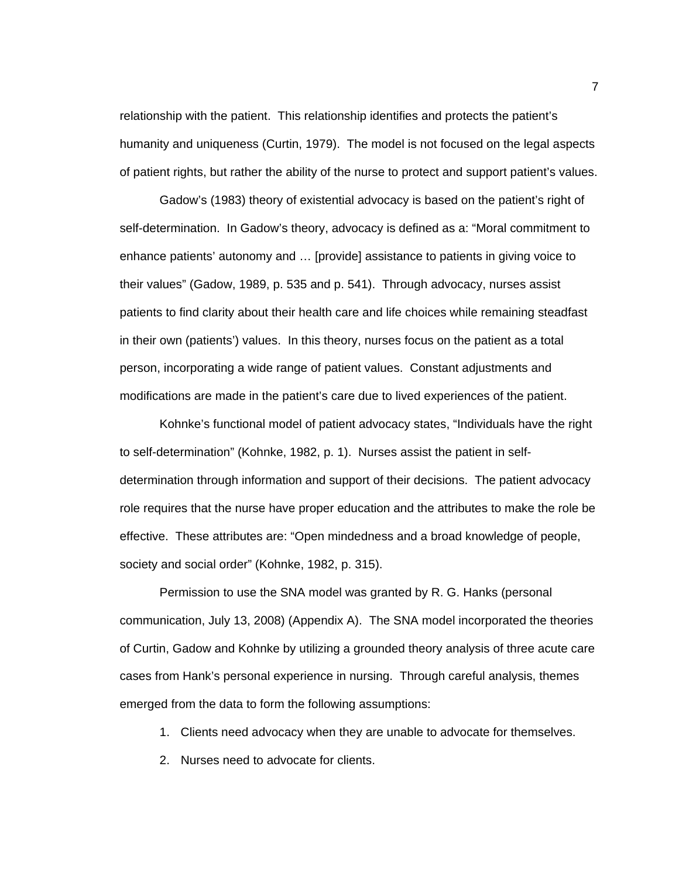relationship with the patient. This relationship identifies and protects the patient's humanity and uniqueness (Curtin, 1979). The model is not focused on the legal aspects of patient rights, but rather the ability of the nurse to protect and support patient's values.

Gadow's (1983) theory of existential advocacy is based on the patient's right of self-determination. In Gadow's theory, advocacy is defined as a: "Moral commitment to enhance patients' autonomy and … [provide] assistance to patients in giving voice to their values" (Gadow, 1989, p. 535 and p. 541). Through advocacy, nurses assist patients to find clarity about their health care and life choices while remaining steadfast in their own (patients') values. In this theory, nurses focus on the patient as a total person, incorporating a wide range of patient values. Constant adjustments and modifications are made in the patient's care due to lived experiences of the patient.

Kohnke's functional model of patient advocacy states, "Individuals have the right to self-determination" (Kohnke, 1982, p. 1). Nurses assist the patient in selfdetermination through information and support of their decisions. The patient advocacy role requires that the nurse have proper education and the attributes to make the role be effective. These attributes are: "Open mindedness and a broad knowledge of people, society and social order" (Kohnke, 1982, p. 315).

Permission to use the SNA model was granted by R. G. Hanks (personal communication, July 13, 2008) (Appendix A). The SNA model incorporated the theories of Curtin, Gadow and Kohnke by utilizing a grounded theory analysis of three acute care cases from Hank's personal experience in nursing. Through careful analysis, themes emerged from the data to form the following assumptions:

1. Clients need advocacy when they are unable to advocate for themselves.

2. Nurses need to advocate for clients.

7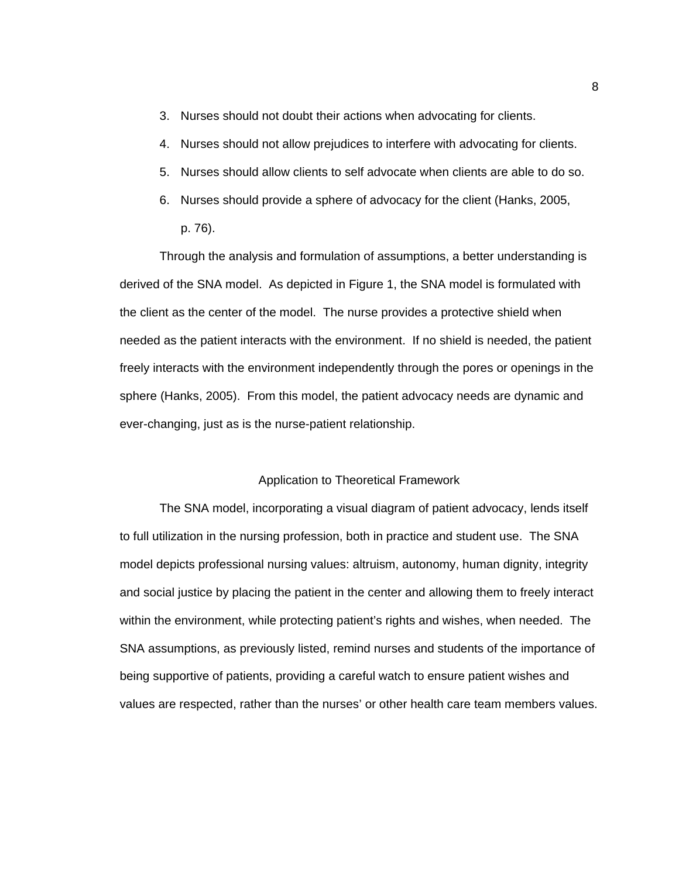- 3. Nurses should not doubt their actions when advocating for clients.
- 4. Nurses should not allow prejudices to interfere with advocating for clients.
- 5. Nurses should allow clients to self advocate when clients are able to do so.
- 6. Nurses should provide a sphere of advocacy for the client (Hanks, 2005,
	- p. 76).

 Through the analysis and formulation of assumptions, a better understanding is derived of the SNA model. As depicted in Figure 1, the SNA model is formulated with the client as the center of the model. The nurse provides a protective shield when needed as the patient interacts with the environment. If no shield is needed, the patient freely interacts with the environment independently through the pores or openings in the sphere (Hanks, 2005). From this model, the patient advocacy needs are dynamic and ever-changing, just as is the nurse-patient relationship.

## Application to Theoretical Framework

 The SNA model, incorporating a visual diagram of patient advocacy, lends itself to full utilization in the nursing profession, both in practice and student use. The SNA model depicts professional nursing values: altruism, autonomy, human dignity, integrity and social justice by placing the patient in the center and allowing them to freely interact within the environment, while protecting patient's rights and wishes, when needed. The SNA assumptions, as previously listed, remind nurses and students of the importance of being supportive of patients, providing a careful watch to ensure patient wishes and values are respected, rather than the nurses' or other health care team members values.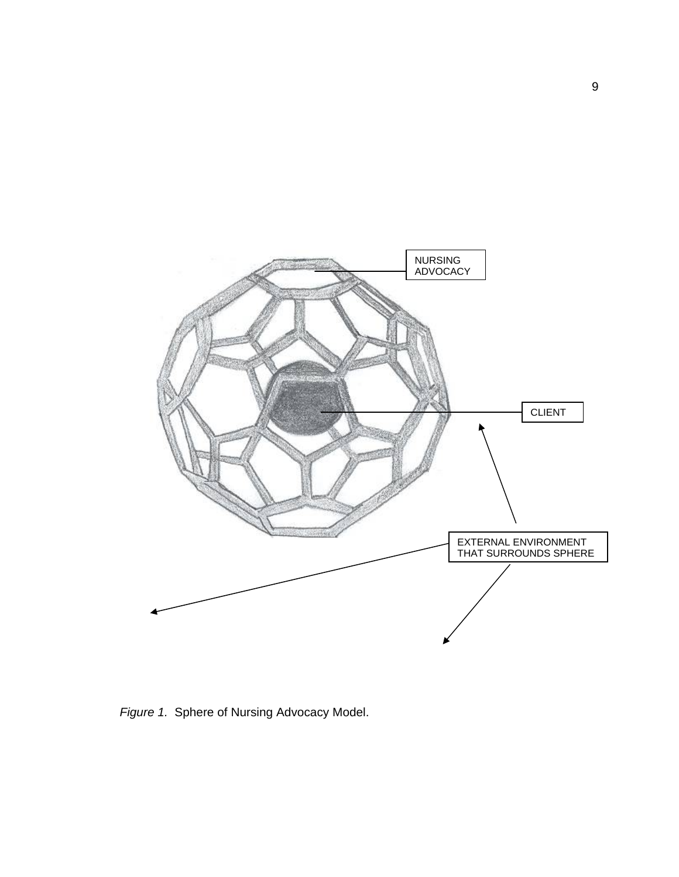

*Figure 1.* Sphere of Nursing Advocacy Model.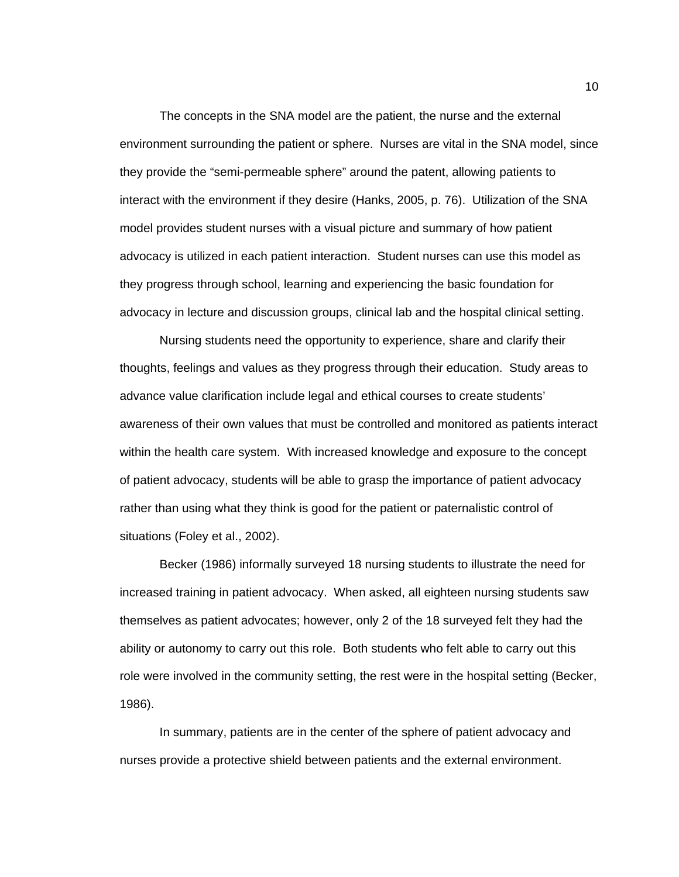The concepts in the SNA model are the patient, the nurse and the external environment surrounding the patient or sphere. Nurses are vital in the SNA model, since they provide the "semi-permeable sphere" around the patent, allowing patients to interact with the environment if they desire (Hanks, 2005, p. 76). Utilization of the SNA model provides student nurses with a visual picture and summary of how patient advocacy is utilized in each patient interaction. Student nurses can use this model as they progress through school, learning and experiencing the basic foundation for advocacy in lecture and discussion groups, clinical lab and the hospital clinical setting.

 Nursing students need the opportunity to experience, share and clarify their thoughts, feelings and values as they progress through their education. Study areas to advance value clarification include legal and ethical courses to create students' awareness of their own values that must be controlled and monitored as patients interact within the health care system. With increased knowledge and exposure to the concept of patient advocacy, students will be able to grasp the importance of patient advocacy rather than using what they think is good for the patient or paternalistic control of situations (Foley et al., 2002).

 Becker (1986) informally surveyed 18 nursing students to illustrate the need for increased training in patient advocacy. When asked, all eighteen nursing students saw themselves as patient advocates; however, only 2 of the 18 surveyed felt they had the ability or autonomy to carry out this role. Both students who felt able to carry out this role were involved in the community setting, the rest were in the hospital setting (Becker, 1986).

In summary, patients are in the center of the sphere of patient advocacy and nurses provide a protective shield between patients and the external environment.

10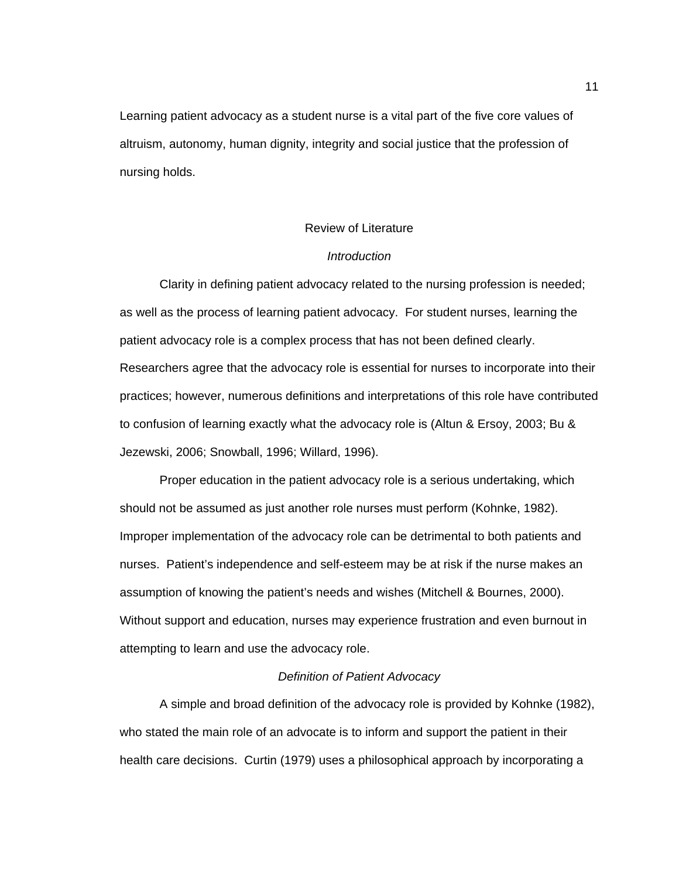Learning patient advocacy as a student nurse is a vital part of the five core values of altruism, autonomy, human dignity, integrity and social justice that the profession of nursing holds.

#### Review of Literature

## *Introduction*

 Clarity in defining patient advocacy related to the nursing profession is needed; as well as the process of learning patient advocacy. For student nurses, learning the patient advocacy role is a complex process that has not been defined clearly. Researchers agree that the advocacy role is essential for nurses to incorporate into their practices; however, numerous definitions and interpretations of this role have contributed to confusion of learning exactly what the advocacy role is (Altun & Ersoy, 2003; Bu & Jezewski, 2006; Snowball, 1996; Willard, 1996).

 Proper education in the patient advocacy role is a serious undertaking, which should not be assumed as just another role nurses must perform (Kohnke, 1982). Improper implementation of the advocacy role can be detrimental to both patients and nurses. Patient's independence and self-esteem may be at risk if the nurse makes an assumption of knowing the patient's needs and wishes (Mitchell & Bournes, 2000). Without support and education, nurses may experience frustration and even burnout in attempting to learn and use the advocacy role.

## *Definition of Patient Advocacy*

 A simple and broad definition of the advocacy role is provided by Kohnke (1982), who stated the main role of an advocate is to inform and support the patient in their health care decisions. Curtin (1979) uses a philosophical approach by incorporating a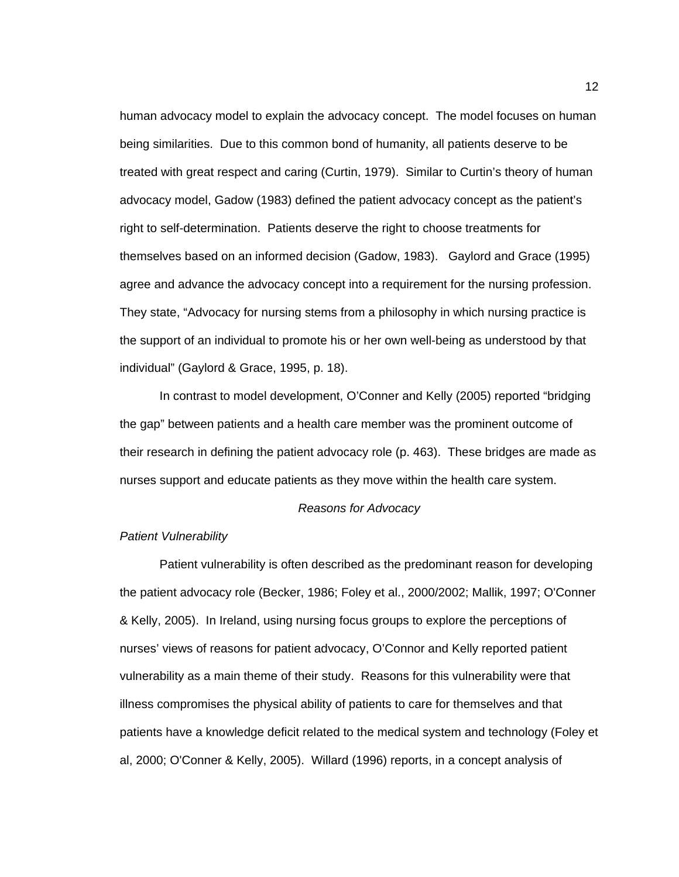human advocacy model to explain the advocacy concept. The model focuses on human being similarities. Due to this common bond of humanity, all patients deserve to be treated with great respect and caring (Curtin, 1979). Similar to Curtin's theory of human advocacy model, Gadow (1983) defined the patient advocacy concept as the patient's right to self-determination. Patients deserve the right to choose treatments for themselves based on an informed decision (Gadow, 1983). Gaylord and Grace (1995) agree and advance the advocacy concept into a requirement for the nursing profession. They state, "Advocacy for nursing stems from a philosophy in which nursing practice is the support of an individual to promote his or her own well-being as understood by that individual" (Gaylord & Grace, 1995, p. 18).

 In contrast to model development, O'Conner and Kelly (2005) reported "bridging the gap" between patients and a health care member was the prominent outcome of their research in defining the patient advocacy role (p. 463). These bridges are made as nurses support and educate patients as they move within the health care system.

#### *Reasons for Advocacy*

#### *Patient Vulnerability*

 Patient vulnerability is often described as the predominant reason for developing the patient advocacy role (Becker, 1986; Foley et al., 2000/2002; Mallik, 1997; O'Conner & Kelly, 2005). In Ireland, using nursing focus groups to explore the perceptions of nurses' views of reasons for patient advocacy, O'Connor and Kelly reported patient vulnerability as a main theme of their study. Reasons for this vulnerability were that illness compromises the physical ability of patients to care for themselves and that patients have a knowledge deficit related to the medical system and technology (Foley et al, 2000; O'Conner & Kelly, 2005). Willard (1996) reports, in a concept analysis of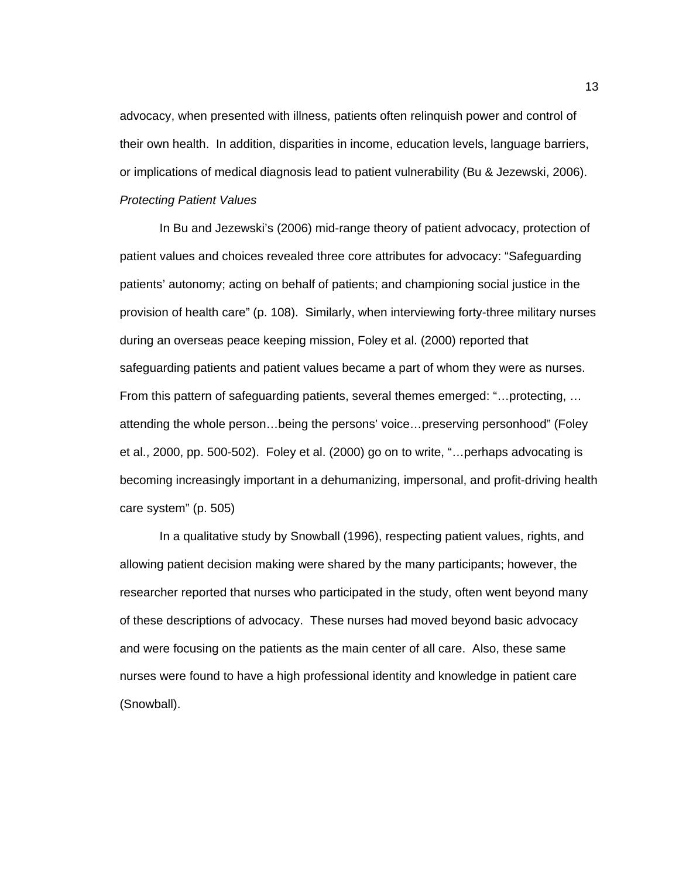advocacy, when presented with illness, patients often relinquish power and control of their own health. In addition, disparities in income, education levels, language barriers, or implications of medical diagnosis lead to patient vulnerability (Bu & Jezewski, 2006). *Protecting Patient Values* 

 In Bu and Jezewski's (2006) mid-range theory of patient advocacy, protection of patient values and choices revealed three core attributes for advocacy: "Safeguarding patients' autonomy; acting on behalf of patients; and championing social justice in the provision of health care" (p. 108). Similarly, when interviewing forty-three military nurses during an overseas peace keeping mission, Foley et al. (2000) reported that safeguarding patients and patient values became a part of whom they were as nurses. From this pattern of safeguarding patients, several themes emerged: "…protecting, … attending the whole person…being the persons' voice…preserving personhood" (Foley et al., 2000, pp. 500-502). Foley et al. (2000) go on to write, "…perhaps advocating is becoming increasingly important in a dehumanizing, impersonal, and profit-driving health care system" (p. 505)

 In a qualitative study by Snowball (1996), respecting patient values, rights, and allowing patient decision making were shared by the many participants; however, the researcher reported that nurses who participated in the study, often went beyond many of these descriptions of advocacy. These nurses had moved beyond basic advocacy and were focusing on the patients as the main center of all care. Also, these same nurses were found to have a high professional identity and knowledge in patient care (Snowball).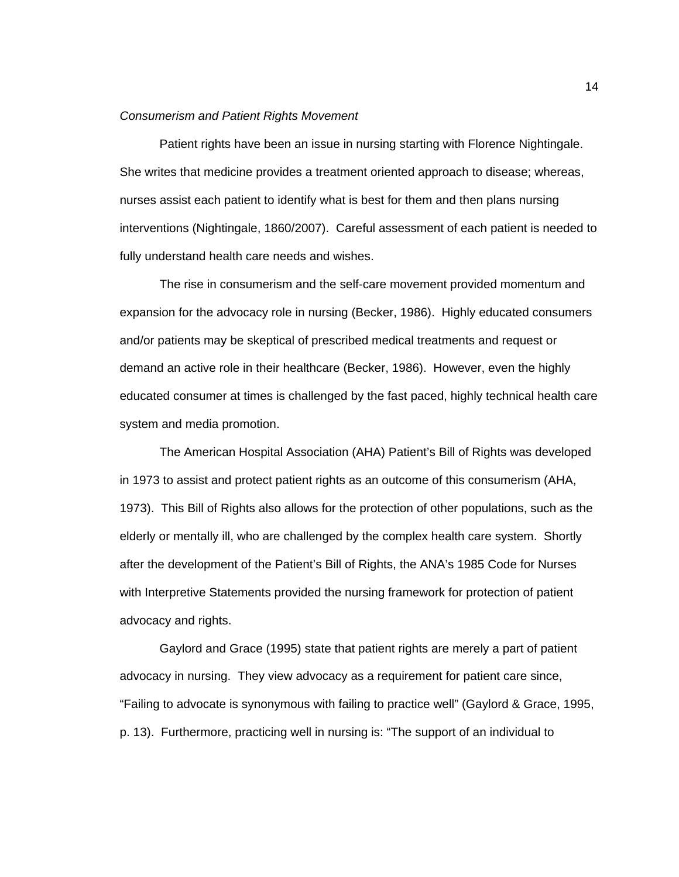#### *Consumerism and Patient Rights Movement*

 Patient rights have been an issue in nursing starting with Florence Nightingale. She writes that medicine provides a treatment oriented approach to disease; whereas, nurses assist each patient to identify what is best for them and then plans nursing interventions (Nightingale, 1860/2007). Careful assessment of each patient is needed to fully understand health care needs and wishes.

 The rise in consumerism and the self-care movement provided momentum and expansion for the advocacy role in nursing (Becker, 1986). Highly educated consumers and/or patients may be skeptical of prescribed medical treatments and request or demand an active role in their healthcare (Becker, 1986). However, even the highly educated consumer at times is challenged by the fast paced, highly technical health care system and media promotion.

 The American Hospital Association (AHA) Patient's Bill of Rights was developed in 1973 to assist and protect patient rights as an outcome of this consumerism (AHA, 1973). This Bill of Rights also allows for the protection of other populations, such as the elderly or mentally ill, who are challenged by the complex health care system. Shortly after the development of the Patient's Bill of Rights, the ANA's 1985 Code for Nurses with Interpretive Statements provided the nursing framework for protection of patient advocacy and rights.

 Gaylord and Grace (1995) state that patient rights are merely a part of patient advocacy in nursing. They view advocacy as a requirement for patient care since, "Failing to advocate is synonymous with failing to practice well" (Gaylord & Grace, 1995, p. 13). Furthermore, practicing well in nursing is: "The support of an individual to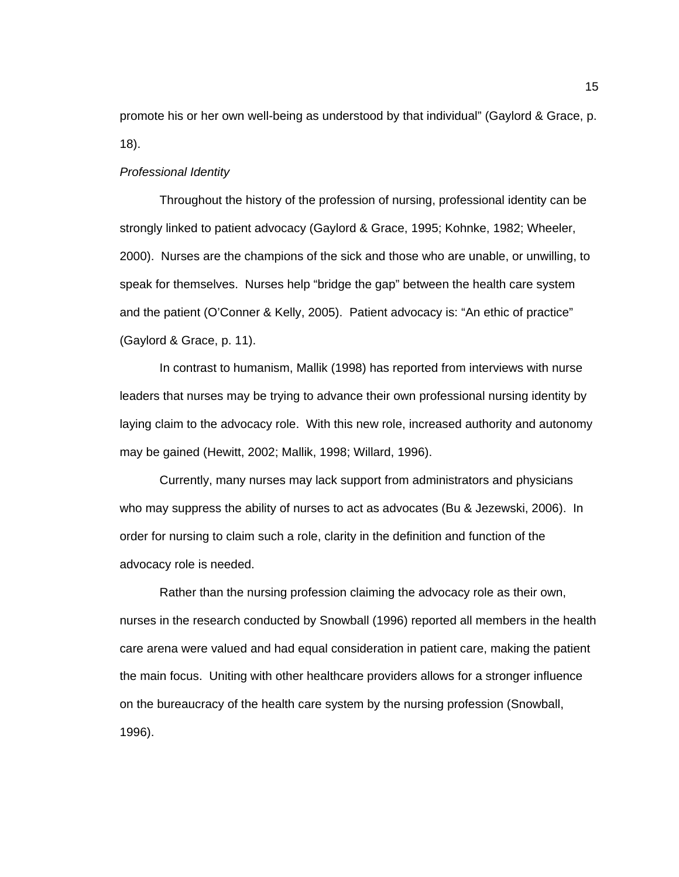promote his or her own well-being as understood by that individual" (Gaylord & Grace, p. 18).

#### *Professional Identity*

 Throughout the history of the profession of nursing, professional identity can be strongly linked to patient advocacy (Gaylord & Grace, 1995; Kohnke, 1982; Wheeler, 2000). Nurses are the champions of the sick and those who are unable, or unwilling, to speak for themselves. Nurses help "bridge the gap" between the health care system and the patient (O'Conner & Kelly, 2005). Patient advocacy is: "An ethic of practice" (Gaylord & Grace, p. 11).

 In contrast to humanism, Mallik (1998) has reported from interviews with nurse leaders that nurses may be trying to advance their own professional nursing identity by laying claim to the advocacy role. With this new role, increased authority and autonomy may be gained (Hewitt, 2002; Mallik, 1998; Willard, 1996).

Currently, many nurses may lack support from administrators and physicians who may suppress the ability of nurses to act as advocates (Bu & Jezewski, 2006). In order for nursing to claim such a role, clarity in the definition and function of the advocacy role is needed.

 Rather than the nursing profession claiming the advocacy role as their own, nurses in the research conducted by Snowball (1996) reported all members in the health care arena were valued and had equal consideration in patient care, making the patient the main focus. Uniting with other healthcare providers allows for a stronger influence on the bureaucracy of the health care system by the nursing profession (Snowball, 1996).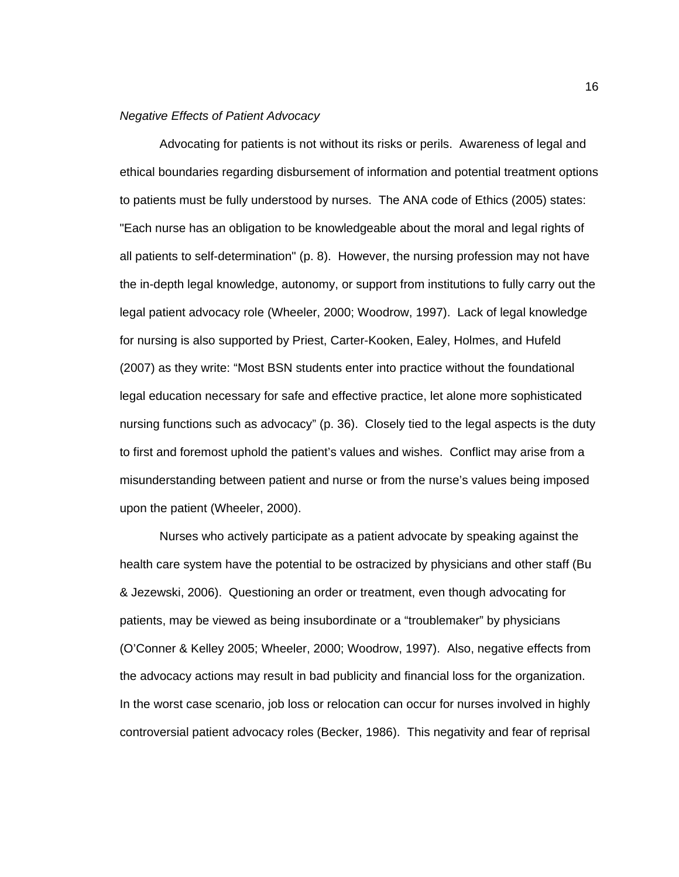#### *Negative Effects of Patient Advocacy*

 Advocating for patients is not without its risks or perils. Awareness of legal and ethical boundaries regarding disbursement of information and potential treatment options to patients must be fully understood by nurses. The ANA code of Ethics (2005) states: "Each nurse has an obligation to be knowledgeable about the moral and legal rights of all patients to self-determination" (p. 8). However, the nursing profession may not have the in-depth legal knowledge, autonomy, or support from institutions to fully carry out the legal patient advocacy role (Wheeler, 2000; Woodrow, 1997). Lack of legal knowledge for nursing is also supported by Priest, Carter-Kooken, Ealey, Holmes, and Hufeld (2007) as they write: "Most BSN students enter into practice without the foundational legal education necessary for safe and effective practice, let alone more sophisticated nursing functions such as advocacy" (p. 36). Closely tied to the legal aspects is the duty to first and foremost uphold the patient's values and wishes. Conflict may arise from a misunderstanding between patient and nurse or from the nurse's values being imposed upon the patient (Wheeler, 2000).

 Nurses who actively participate as a patient advocate by speaking against the health care system have the potential to be ostracized by physicians and other staff (Bu & Jezewski, 2006). Questioning an order or treatment, even though advocating for patients, may be viewed as being insubordinate or a "troublemaker" by physicians (O'Conner & Kelley 2005; Wheeler, 2000; Woodrow, 1997). Also, negative effects from the advocacy actions may result in bad publicity and financial loss for the organization. In the worst case scenario, job loss or relocation can occur for nurses involved in highly controversial patient advocacy roles (Becker, 1986). This negativity and fear of reprisal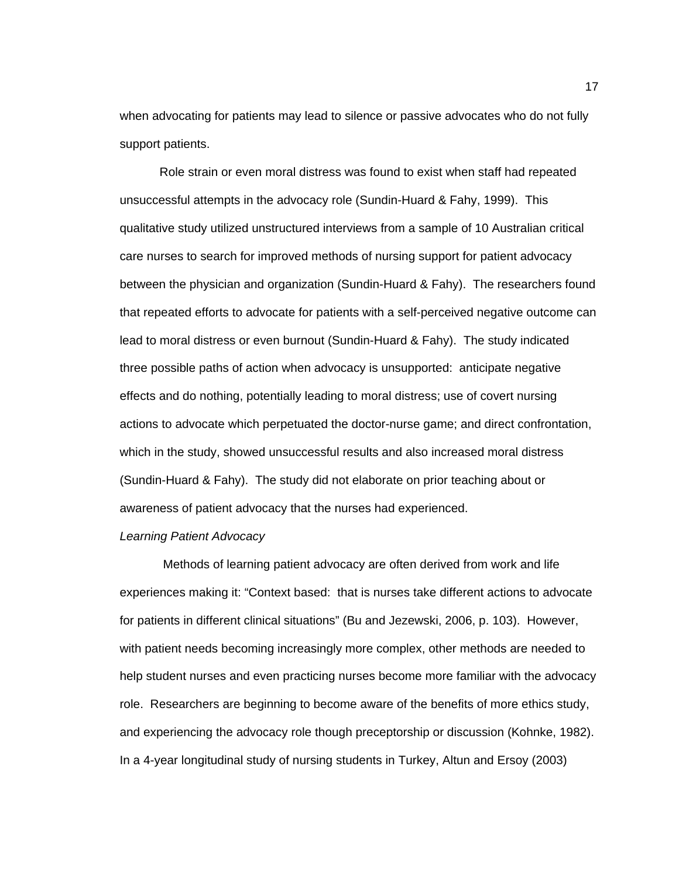when advocating for patients may lead to silence or passive advocates who do not fully support patients.

 Role strain or even moral distress was found to exist when staff had repeated unsuccessful attempts in the advocacy role (Sundin-Huard & Fahy, 1999). This qualitative study utilized unstructured interviews from a sample of 10 Australian critical care nurses to search for improved methods of nursing support for patient advocacy between the physician and organization (Sundin-Huard & Fahy). The researchers found that repeated efforts to advocate for patients with a self-perceived negative outcome can lead to moral distress or even burnout (Sundin-Huard & Fahy). The study indicated three possible paths of action when advocacy is unsupported: anticipate negative effects and do nothing, potentially leading to moral distress; use of covert nursing actions to advocate which perpetuated the doctor-nurse game; and direct confrontation, which in the study, showed unsuccessful results and also increased moral distress (Sundin-Huard & Fahy). The study did not elaborate on prior teaching about or awareness of patient advocacy that the nurses had experienced.

### *Learning Patient Advocacy*

 Methods of learning patient advocacy are often derived from work and life experiences making it: "Context based: that is nurses take different actions to advocate for patients in different clinical situations" (Bu and Jezewski, 2006, p. 103). However, with patient needs becoming increasingly more complex, other methods are needed to help student nurses and even practicing nurses become more familiar with the advocacy role. Researchers are beginning to become aware of the benefits of more ethics study, and experiencing the advocacy role though preceptorship or discussion (Kohnke, 1982). In a 4-year longitudinal study of nursing students in Turkey, Altun and Ersoy (2003)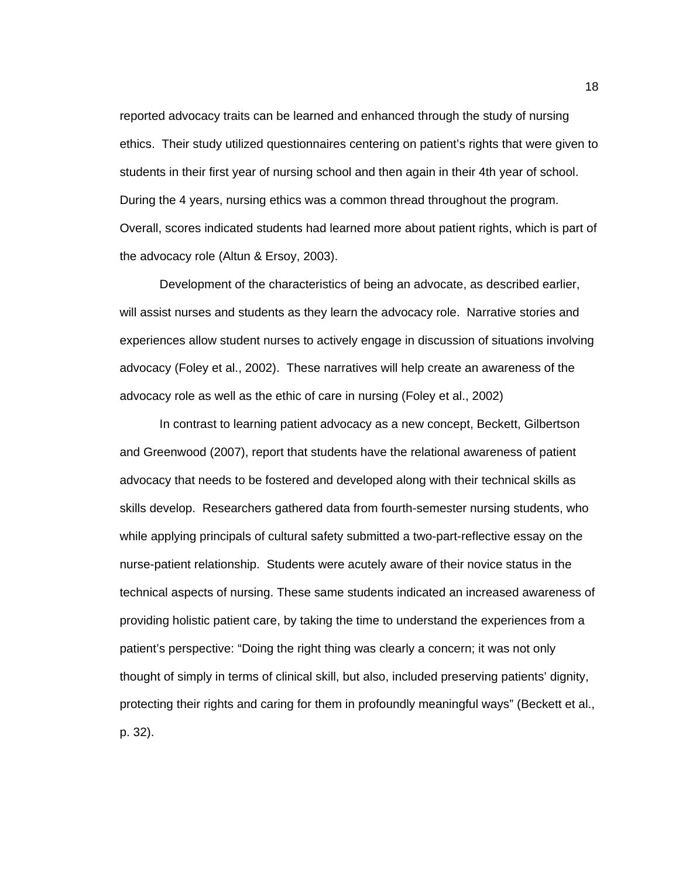reported advocacy traits can be learned and enhanced through the study of nursing ethics. Their study utilized questionnaires centering on patient's rights that were given to students in their first year of nursing school and then again in their 4th year of school. During the 4 years, nursing ethics was a common thread throughout the program. Overall, scores indicated students had learned more about patient rights, which is part of the advocacy role (Altun & Ersoy, 2003).

 Development of the characteristics of being an advocate, as described earlier, will assist nurses and students as they learn the advocacy role. Narrative stories and experiences allow student nurses to actively engage in discussion of situations involving advocacy (Foley et al., 2002). These narratives will help create an awareness of the advocacy role as well as the ethic of care in nursing (Foley et al., 2002)

 In contrast to learning patient advocacy as a new concept, Beckett, Gilbertson and Greenwood (2007), report that students have the relational awareness of patient advocacy that needs to be fostered and developed along with their technical skills as skills develop. Researchers gathered data from fourth-semester nursing students, who while applying principals of cultural safety submitted a two-part-reflective essay on the nurse-patient relationship. Students were acutely aware of their novice status in the technical aspects of nursing. These same students indicated an increased awareness of providing holistic patient care, by taking the time to understand the experiences from a patient's perspective: "Doing the right thing was clearly a concern; it was not only thought of simply in terms of clinical skill, but also, included preserving patients' dignity, protecting their rights and caring for them in profoundly meaningful ways" (Beckett et al., p. 32).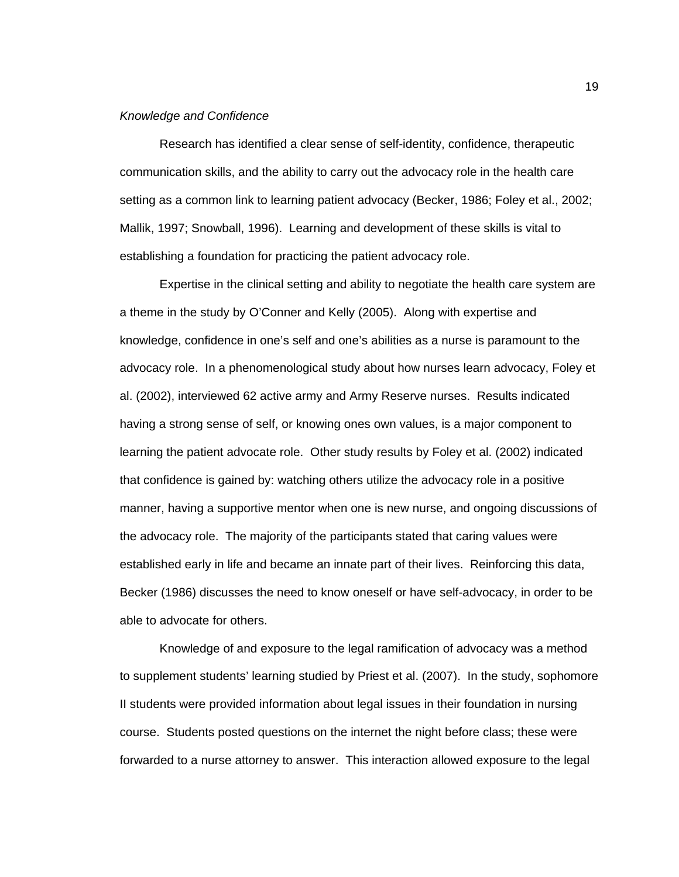#### *Knowledge and Confidence*

Research has identified a clear sense of self-identity, confidence, therapeutic communication skills, and the ability to carry out the advocacy role in the health care setting as a common link to learning patient advocacy (Becker, 1986; Foley et al., 2002; Mallik, 1997; Snowball, 1996). Learning and development of these skills is vital to establishing a foundation for practicing the patient advocacy role.

 Expertise in the clinical setting and ability to negotiate the health care system are a theme in the study by O'Conner and Kelly (2005). Along with expertise and knowledge, confidence in one's self and one's abilities as a nurse is paramount to the advocacy role. In a phenomenological study about how nurses learn advocacy, Foley et al. (2002), interviewed 62 active army and Army Reserve nurses. Results indicated having a strong sense of self, or knowing ones own values, is a major component to learning the patient advocate role. Other study results by Foley et al. (2002) indicated that confidence is gained by: watching others utilize the advocacy role in a positive manner, having a supportive mentor when one is new nurse, and ongoing discussions of the advocacy role. The majority of the participants stated that caring values were established early in life and became an innate part of their lives. Reinforcing this data, Becker (1986) discusses the need to know oneself or have self-advocacy, in order to be able to advocate for others.

 Knowledge of and exposure to the legal ramification of advocacy was a method to supplement students' learning studied by Priest et al. (2007). In the study, sophomore II students were provided information about legal issues in their foundation in nursing course. Students posted questions on the internet the night before class; these were forwarded to a nurse attorney to answer. This interaction allowed exposure to the legal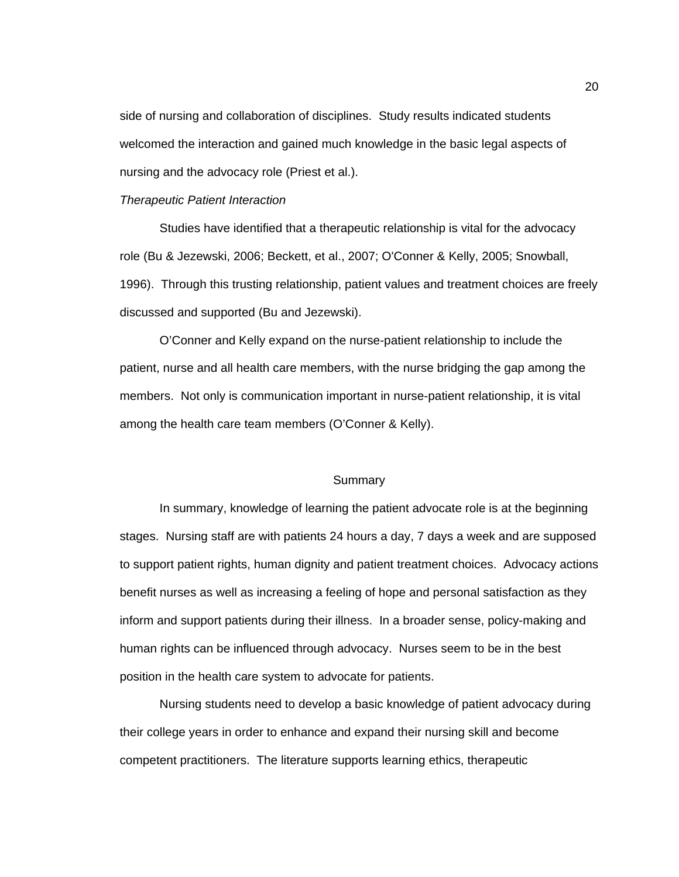side of nursing and collaboration of disciplines. Study results indicated students welcomed the interaction and gained much knowledge in the basic legal aspects of nursing and the advocacy role (Priest et al.).

### *Therapeutic Patient Interaction*

 Studies have identified that a therapeutic relationship is vital for the advocacy role (Bu & Jezewski, 2006; Beckett, et al., 2007; O'Conner & Kelly, 2005; Snowball, 1996). Through this trusting relationship, patient values and treatment choices are freely discussed and supported (Bu and Jezewski).

O'Conner and Kelly expand on the nurse-patient relationship to include the patient, nurse and all health care members, with the nurse bridging the gap among the members. Not only is communication important in nurse-patient relationship, it is vital among the health care team members (O'Conner & Kelly).

## **Summary**

 In summary, knowledge of learning the patient advocate role is at the beginning stages. Nursing staff are with patients 24 hours a day, 7 days a week and are supposed to support patient rights, human dignity and patient treatment choices. Advocacy actions benefit nurses as well as increasing a feeling of hope and personal satisfaction as they inform and support patients during their illness. In a broader sense, policy-making and human rights can be influenced through advocacy. Nurses seem to be in the best position in the health care system to advocate for patients.

 Nursing students need to develop a basic knowledge of patient advocacy during their college years in order to enhance and expand their nursing skill and become competent practitioners. The literature supports learning ethics, therapeutic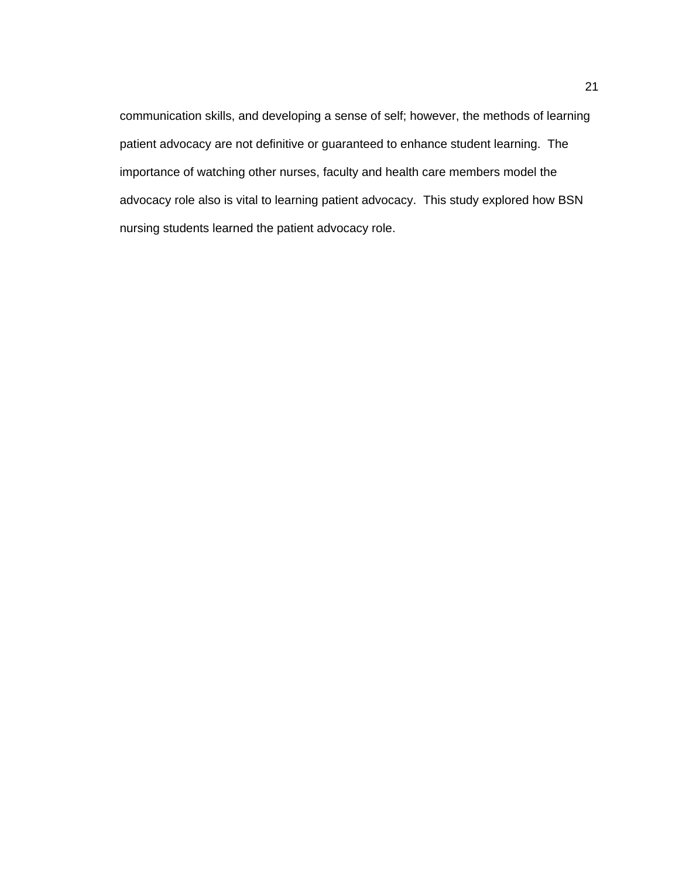communication skills, and developing a sense of self; however, the methods of learning patient advocacy are not definitive or guaranteed to enhance student learning. The importance of watching other nurses, faculty and health care members model the advocacy role also is vital to learning patient advocacy. This study explored how BSN nursing students learned the patient advocacy role.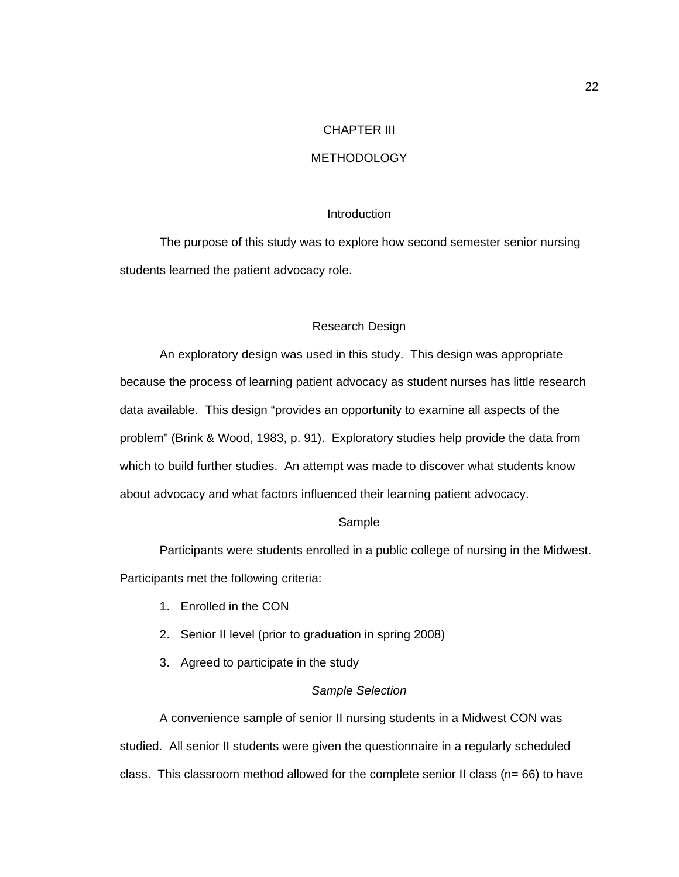### CHAPTER III

## **METHODOLOGY**

### **Introduction**

The purpose of this study was to explore how second semester senior nursing students learned the patient advocacy role.

#### Research Design

An exploratory design was used in this study. This design was appropriate because the process of learning patient advocacy as student nurses has little research data available. This design "provides an opportunity to examine all aspects of the problem" (Brink & Wood, 1983, p. 91). Exploratory studies help provide the data from which to build further studies. An attempt was made to discover what students know about advocacy and what factors influenced their learning patient advocacy.

#### Sample

Participants were students enrolled in a public college of nursing in the Midwest. Participants met the following criteria:

- 1. Enrolled in the CON
- 2. Senior II level (prior to graduation in spring 2008)
- 3. Agreed to participate in the study

## *Sample Selection*

A convenience sample of senior II nursing students in a Midwest CON was studied. All senior II students were given the questionnaire in a regularly scheduled class. This classroom method allowed for the complete senior II class ( $n= 66$ ) to have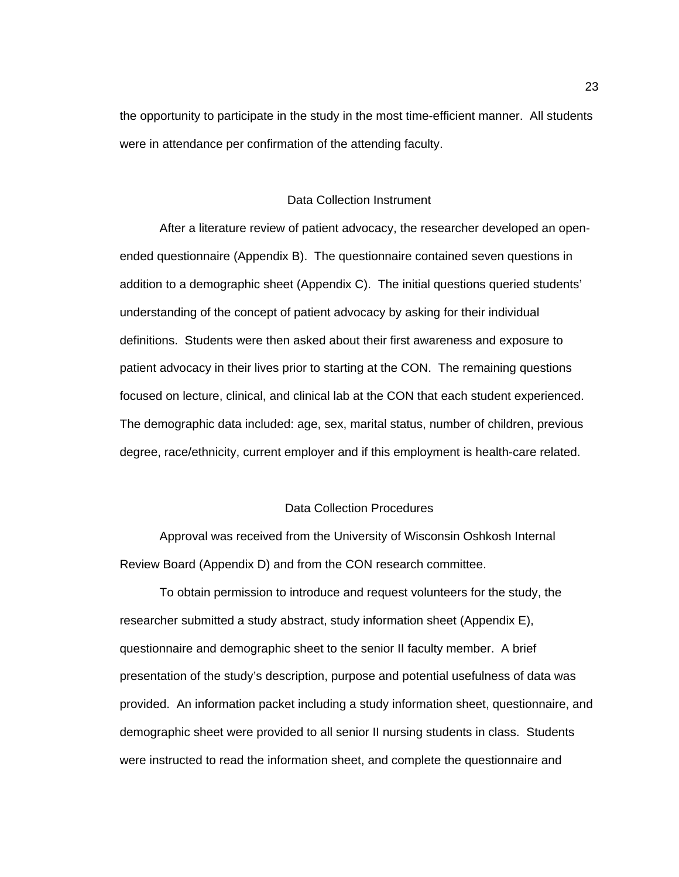the opportunity to participate in the study in the most time-efficient manner. All students were in attendance per confirmation of the attending faculty.

## Data Collection Instrument

After a literature review of patient advocacy, the researcher developed an openended questionnaire (Appendix B). The questionnaire contained seven questions in addition to a demographic sheet (Appendix C). The initial questions queried students' understanding of the concept of patient advocacy by asking for their individual definitions. Students were then asked about their first awareness and exposure to patient advocacy in their lives prior to starting at the CON. The remaining questions focused on lecture, clinical, and clinical lab at the CON that each student experienced. The demographic data included: age, sex, marital status, number of children, previous degree, race/ethnicity, current employer and if this employment is health-care related.

#### Data Collection Procedures

Approval was received from the University of Wisconsin Oshkosh Internal Review Board (Appendix D) and from the CON research committee.

To obtain permission to introduce and request volunteers for the study, the researcher submitted a study abstract, study information sheet (Appendix E), questionnaire and demographic sheet to the senior II faculty member. A brief presentation of the study's description, purpose and potential usefulness of data was provided. An information packet including a study information sheet, questionnaire, and demographic sheet were provided to all senior II nursing students in class. Students were instructed to read the information sheet, and complete the questionnaire and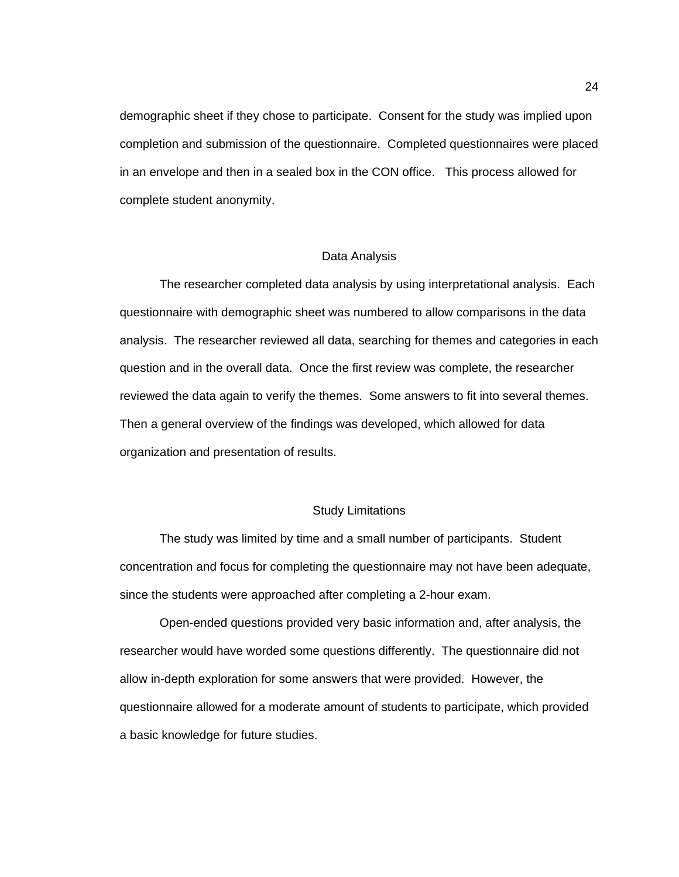demographic sheet if they chose to participate. Consent for the study was implied upon completion and submission of the questionnaire. Completed questionnaires were placed in an envelope and then in a sealed box in the CON office. This process allowed for complete student anonymity.

#### Data Analysis

 The researcher completed data analysis by using interpretational analysis. Each questionnaire with demographic sheet was numbered to allow comparisons in the data analysis. The researcher reviewed all data, searching for themes and categories in each question and in the overall data. Once the first review was complete, the researcher reviewed the data again to verify the themes. Some answers to fit into several themes. Then a general overview of the findings was developed, which allowed for data organization and presentation of results.

## Study Limitations

The study was limited by time and a small number of participants. Student concentration and focus for completing the questionnaire may not have been adequate, since the students were approached after completing a 2-hour exam.

Open-ended questions provided very basic information and, after analysis, the researcher would have worded some questions differently. The questionnaire did not allow in-depth exploration for some answers that were provided. However, the questionnaire allowed for a moderate amount of students to participate, which provided a basic knowledge for future studies.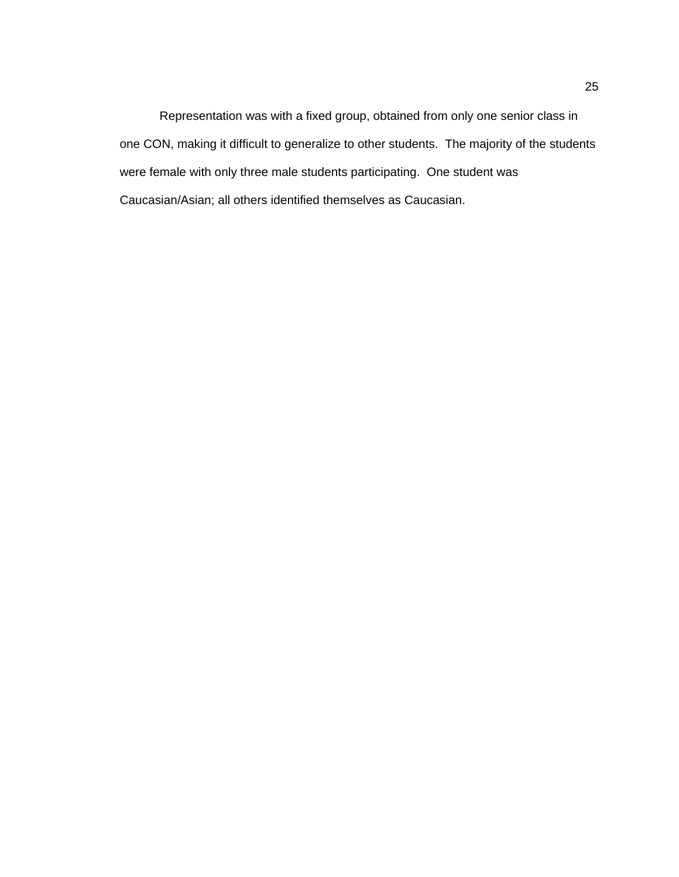Representation was with a fixed group, obtained from only one senior class in one CON, making it difficult to generalize to other students. The majority of the students were female with only three male students participating. One student was Caucasian/Asian; all others identified themselves as Caucasian.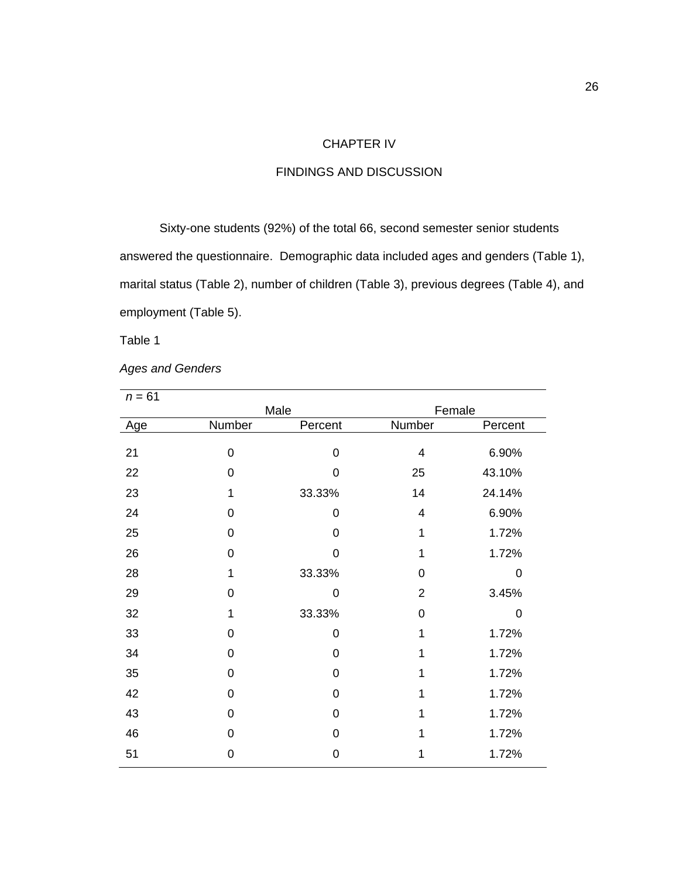## CHAPTER IV

## FINDINGS AND DISCUSSION

Sixty-one students (92%) of the total 66, second semester senior students answered the questionnaire. Demographic data included ages and genders (Table 1), marital status (Table 2), number of children (Table 3), previous degrees (Table 4), and employment (Table 5).

Table 1

*Ages and Genders*

|             |             | Female         |         |
|-------------|-------------|----------------|---------|
|             | Percent     | Number         | Percent |
|             |             |                |         |
| 0           | 0           | 4              | 6.90%   |
| 0           | 0           | 25             | 43.10%  |
| 1           | 33.33%      | 14             | 24.14%  |
| 0           | 0           | 4              | 6.90%   |
| 0           | 0           | 1              | 1.72%   |
| 0           | 0           | 1              | 1.72%   |
| 1           | 33.33%      | 0              | 0       |
| 0           | $\mathbf 0$ | $\overline{2}$ | 3.45%   |
| 1           | 33.33%      | 0              | 0       |
| 0           | 0           | 1              | 1.72%   |
| 0           | 0           | 1              | 1.72%   |
| 0           | 0           | 1              | 1.72%   |
| 0           | 0           | 1              | 1.72%   |
| 0           | 0           | 1              | 1.72%   |
| 0           | 0           |                | 1.72%   |
| $\mathbf 0$ | 0           | 1              | 1.72%   |
|             | Number      | Male           |         |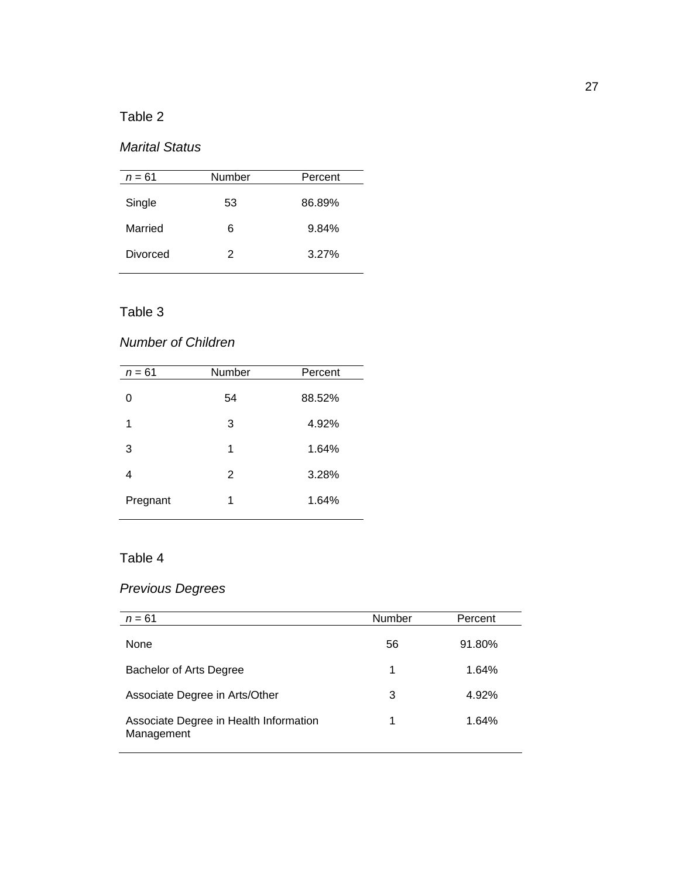# Table 2

# *Marital Status*

| $n = 61$ | Number | Percent |
|----------|--------|---------|
| Single   | 53     | 86.89%  |
| Married  | 6      | 9.84%   |
| Divorced | 2      | 3.27%   |

## Table 3

# *Number of Children*

| $n = 61$ | Number | Percent |
|----------|--------|---------|
| 0        | 54     | 88.52%  |
| 1        | 3      | 4.92%   |
| 3        | 1      | 1.64%   |
| 4        | 2      | 3.28%   |
| Pregnant | 1      | 1.64%   |
|          |        |         |

# Table 4

# *Previous Degrees*

| $n = 61$                                             | <b>Number</b> | Percent  |
|------------------------------------------------------|---------------|----------|
| None                                                 | 56            | 91.80%   |
| Bachelor of Arts Degree                              | 1             | $1.64\%$ |
| Associate Degree in Arts/Other                       | 3             | 4.92%    |
| Associate Degree in Health Information<br>Management | 1             | 1.64%    |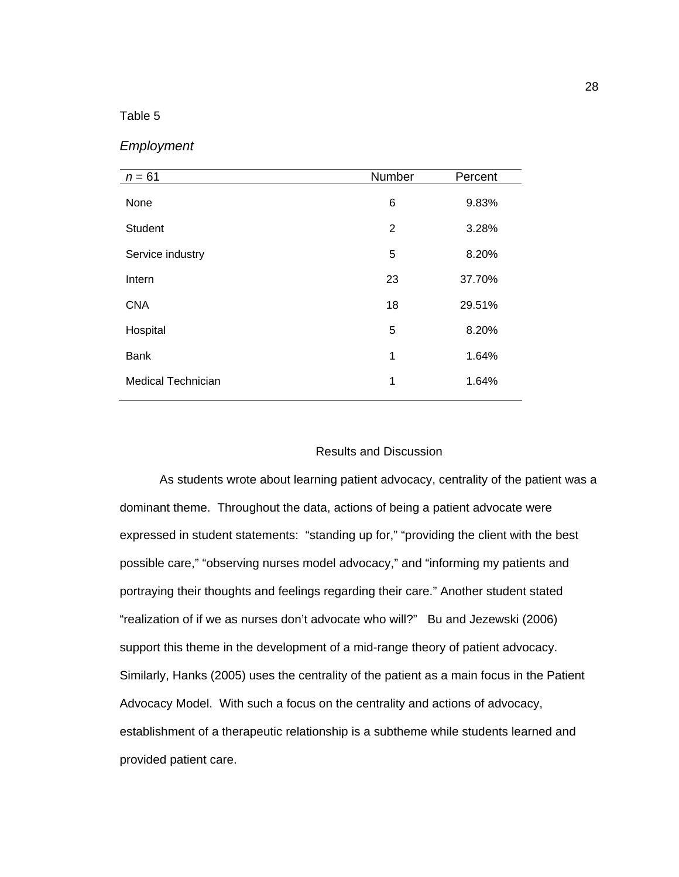## Table 5

|  | Employment |
|--|------------|
|--|------------|

| $n = 61$                  | Number       | Percent |
|---------------------------|--------------|---------|
| None                      | 6            | 9.83%   |
| <b>Student</b>            | 2            | 3.28%   |
| Service industry          | 5            | 8.20%   |
| Intern                    | 23           | 37.70%  |
| <b>CNA</b>                | 18           | 29.51%  |
| Hospital                  | 5            | 8.20%   |
| <b>Bank</b>               | $\mathbf{1}$ | 1.64%   |
| <b>Medical Technician</b> | 1            | 1.64%   |

## Results and Discussion

As students wrote about learning patient advocacy, centrality of the patient was a dominant theme. Throughout the data, actions of being a patient advocate were expressed in student statements: "standing up for," "providing the client with the best possible care," "observing nurses model advocacy," and "informing my patients and portraying their thoughts and feelings regarding their care." Another student stated "realization of if we as nurses don't advocate who will?" Bu and Jezewski (2006) support this theme in the development of a mid-range theory of patient advocacy. Similarly, Hanks (2005) uses the centrality of the patient as a main focus in the Patient Advocacy Model. With such a focus on the centrality and actions of advocacy, establishment of a therapeutic relationship is a subtheme while students learned and provided patient care.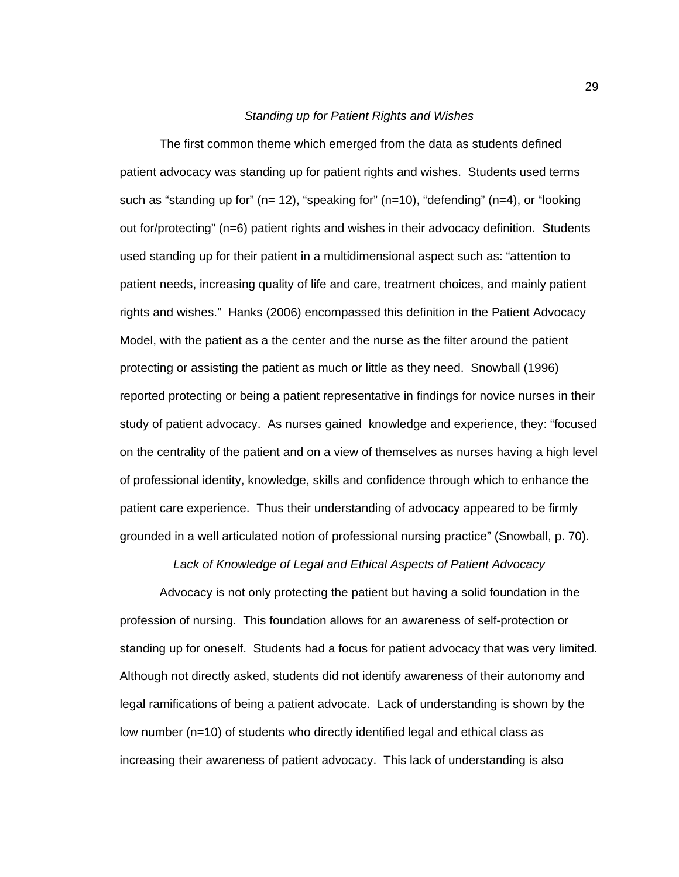### *Standing up for Patient Rights and Wishes*

 The first common theme which emerged from the data as students defined patient advocacy was standing up for patient rights and wishes. Students used terms such as "standing up for" (n= 12), "speaking for" (n=10), "defending" (n=4), or "looking out for/protecting" (n=6) patient rights and wishes in their advocacy definition. Students used standing up for their patient in a multidimensional aspect such as: "attention to patient needs, increasing quality of life and care, treatment choices, and mainly patient rights and wishes." Hanks (2006) encompassed this definition in the Patient Advocacy Model, with the patient as a the center and the nurse as the filter around the patient protecting or assisting the patient as much or little as they need. Snowball (1996) reported protecting or being a patient representative in findings for novice nurses in their study of patient advocacy. As nurses gained knowledge and experience, they: "focused on the centrality of the patient and on a view of themselves as nurses having a high level of professional identity, knowledge, skills and confidence through which to enhance the patient care experience. Thus their understanding of advocacy appeared to be firmly grounded in a well articulated notion of professional nursing practice" (Snowball, p. 70).

*Lack of Knowledge of Legal and Ethical Aspects of Patient Advocacy* 

 Advocacy is not only protecting the patient but having a solid foundation in the profession of nursing. This foundation allows for an awareness of self-protection or standing up for oneself. Students had a focus for patient advocacy that was very limited. Although not directly asked, students did not identify awareness of their autonomy and legal ramifications of being a patient advocate. Lack of understanding is shown by the low number (n=10) of students who directly identified legal and ethical class as increasing their awareness of patient advocacy. This lack of understanding is also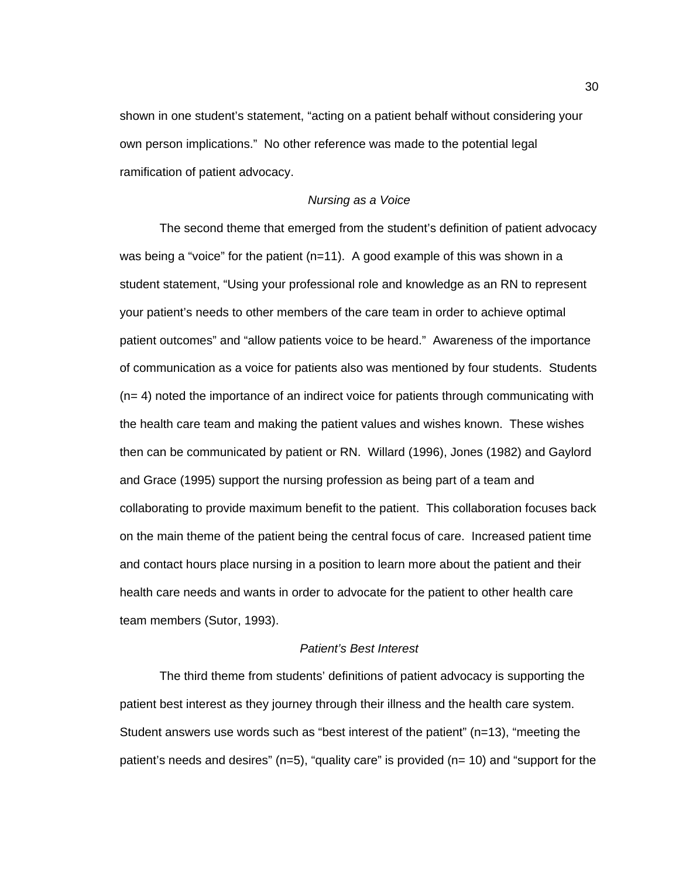shown in one student's statement, "acting on a patient behalf without considering your own person implications." No other reference was made to the potential legal ramification of patient advocacy.

## *Nursing as a Voice*

The second theme that emerged from the student's definition of patient advocacy was being a "voice" for the patient  $(n=11)$ . A good example of this was shown in a student statement, "Using your professional role and knowledge as an RN to represent your patient's needs to other members of the care team in order to achieve optimal patient outcomes" and "allow patients voice to be heard." Awareness of the importance of communication as a voice for patients also was mentioned by four students. Students (n= 4) noted the importance of an indirect voice for patients through communicating with the health care team and making the patient values and wishes known. These wishes then can be communicated by patient or RN. Willard (1996), Jones (1982) and Gaylord and Grace (1995) support the nursing profession as being part of a team and collaborating to provide maximum benefit to the patient. This collaboration focuses back on the main theme of the patient being the central focus of care. Increased patient time and contact hours place nursing in a position to learn more about the patient and their health care needs and wants in order to advocate for the patient to other health care team members (Sutor, 1993).

#### *Patient's Best Interest*

The third theme from students' definitions of patient advocacy is supporting the patient best interest as they journey through their illness and the health care system. Student answers use words such as "best interest of the patient" (n=13), "meeting the patient's needs and desires" (n=5), "quality care" is provided (n= 10) and "support for the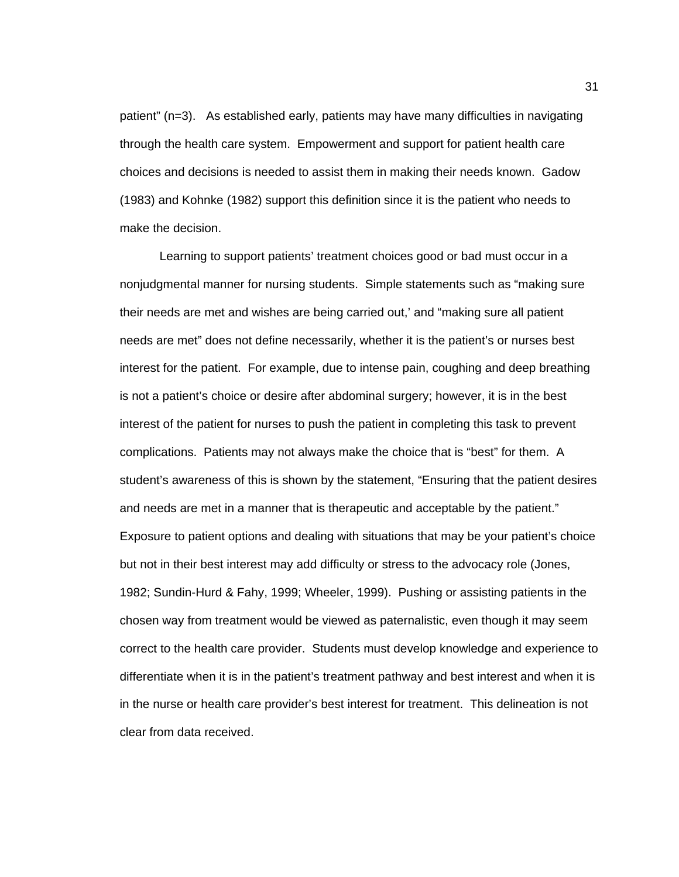patient" (n=3). As established early, patients may have many difficulties in navigating through the health care system. Empowerment and support for patient health care choices and decisions is needed to assist them in making their needs known. Gadow (1983) and Kohnke (1982) support this definition since it is the patient who needs to make the decision.

Learning to support patients' treatment choices good or bad must occur in a nonjudgmental manner for nursing students. Simple statements such as "making sure their needs are met and wishes are being carried out,' and "making sure all patient needs are met" does not define necessarily, whether it is the patient's or nurses best interest for the patient. For example, due to intense pain, coughing and deep breathing is not a patient's choice or desire after abdominal surgery; however, it is in the best interest of the patient for nurses to push the patient in completing this task to prevent complications. Patients may not always make the choice that is "best" for them. A student's awareness of this is shown by the statement, "Ensuring that the patient desires and needs are met in a manner that is therapeutic and acceptable by the patient." Exposure to patient options and dealing with situations that may be your patient's choice but not in their best interest may add difficulty or stress to the advocacy role (Jones, 1982; Sundin-Hurd & Fahy, 1999; Wheeler, 1999). Pushing or assisting patients in the chosen way from treatment would be viewed as paternalistic, even though it may seem correct to the health care provider. Students must develop knowledge and experience to differentiate when it is in the patient's treatment pathway and best interest and when it is in the nurse or health care provider's best interest for treatment. This delineation is not clear from data received.

31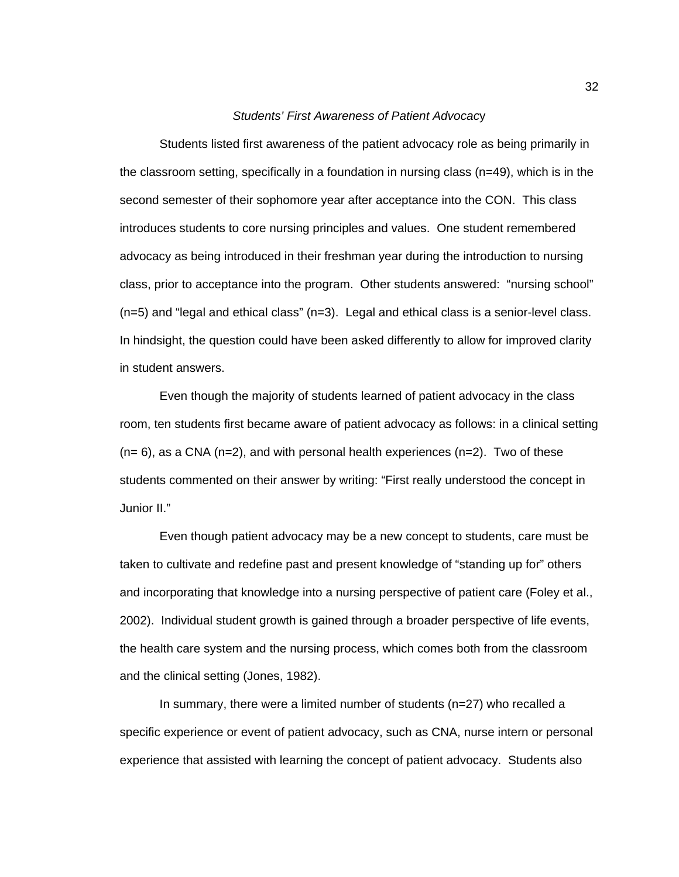### *Students' First Awareness of Patient Advocac*y

 Students listed first awareness of the patient advocacy role as being primarily in the classroom setting, specifically in a foundation in nursing class (n=49), which is in the second semester of their sophomore year after acceptance into the CON. This class introduces students to core nursing principles and values. One student remembered advocacy as being introduced in their freshman year during the introduction to nursing class, prior to acceptance into the program. Other students answered: "nursing school" (n=5) and "legal and ethical class" (n=3). Legal and ethical class is a senior-level class. In hindsight, the question could have been asked differently to allow for improved clarity in student answers.

 Even though the majority of students learned of patient advocacy in the class room, ten students first became aware of patient advocacy as follows: in a clinical setting  $(n= 6)$ , as a CNA  $(n=2)$ , and with personal health experiences  $(n=2)$ . Two of these students commented on their answer by writing: "First really understood the concept in Junior II."

 Even though patient advocacy may be a new concept to students, care must be taken to cultivate and redefine past and present knowledge of "standing up for" others and incorporating that knowledge into a nursing perspective of patient care (Foley et al., 2002). Individual student growth is gained through a broader perspective of life events, the health care system and the nursing process, which comes both from the classroom and the clinical setting (Jones, 1982).

 In summary, there were a limited number of students (n=27) who recalled a specific experience or event of patient advocacy, such as CNA, nurse intern or personal experience that assisted with learning the concept of patient advocacy. Students also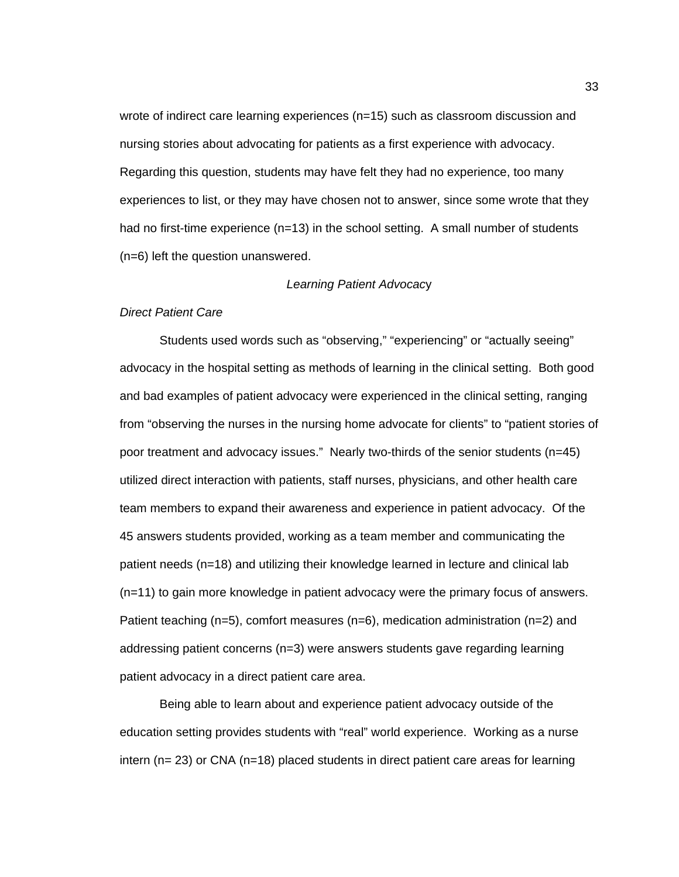wrote of indirect care learning experiences (n=15) such as classroom discussion and nursing stories about advocating for patients as a first experience with advocacy. Regarding this question, students may have felt they had no experience, too many experiences to list, or they may have chosen not to answer, since some wrote that they had no first-time experience (n=13) in the school setting. A small number of students (n=6) left the question unanswered.

#### *Learning Patient Advocac*y

## *Direct Patient Care*

Students used words such as "observing," "experiencing" or "actually seeing" advocacy in the hospital setting as methods of learning in the clinical setting. Both good and bad examples of patient advocacy were experienced in the clinical setting, ranging from "observing the nurses in the nursing home advocate for clients" to "patient stories of poor treatment and advocacy issues." Nearly two-thirds of the senior students (n=45) utilized direct interaction with patients, staff nurses, physicians, and other health care team members to expand their awareness and experience in patient advocacy. Of the 45 answers students provided, working as a team member and communicating the patient needs (n=18) and utilizing their knowledge learned in lecture and clinical lab (n=11) to gain more knowledge in patient advocacy were the primary focus of answers. Patient teaching (n=5), comfort measures (n=6), medication administration (n=2) and addressing patient concerns (n=3) were answers students gave regarding learning patient advocacy in a direct patient care area.

Being able to learn about and experience patient advocacy outside of the education setting provides students with "real" world experience. Working as a nurse intern (n= 23) or CNA (n=18) placed students in direct patient care areas for learning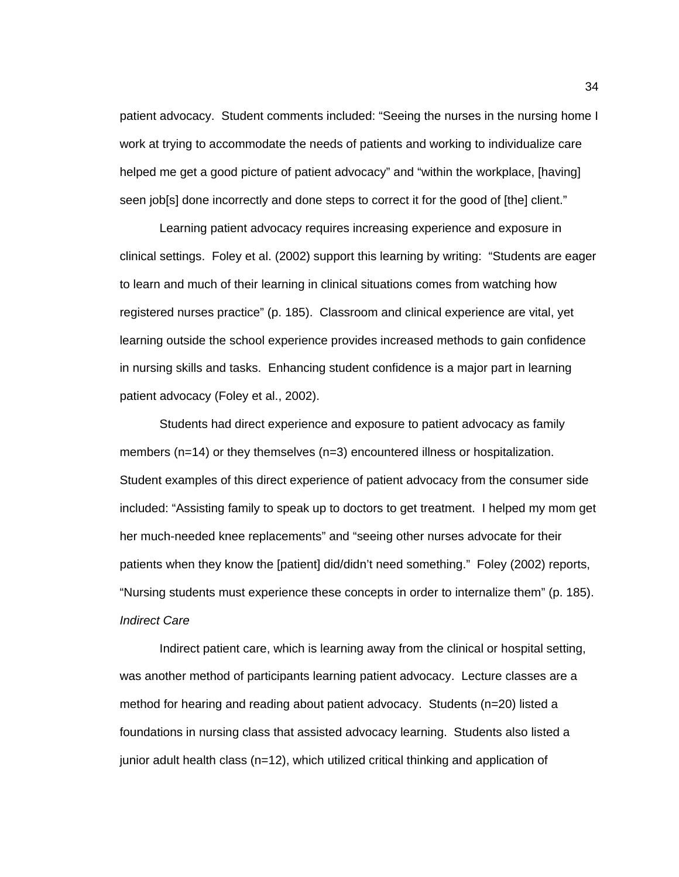patient advocacy. Student comments included: "Seeing the nurses in the nursing home I work at trying to accommodate the needs of patients and working to individualize care helped me get a good picture of patient advocacy" and "within the workplace, [having] seen job[s] done incorrectly and done steps to correct it for the good of [the] client."

Learning patient advocacy requires increasing experience and exposure in clinical settings. Foley et al. (2002) support this learning by writing: "Students are eager to learn and much of their learning in clinical situations comes from watching how registered nurses practice" (p. 185). Classroom and clinical experience are vital, yet learning outside the school experience provides increased methods to gain confidence in nursing skills and tasks. Enhancing student confidence is a major part in learning patient advocacy (Foley et al., 2002).

Students had direct experience and exposure to patient advocacy as family members (n=14) or they themselves (n=3) encountered illness or hospitalization. Student examples of this direct experience of patient advocacy from the consumer side included: "Assisting family to speak up to doctors to get treatment. I helped my mom get her much-needed knee replacements" and "seeing other nurses advocate for their patients when they know the [patient] did/didn't need something." Foley (2002) reports, "Nursing students must experience these concepts in order to internalize them" (p. 185). *Indirect Care* 

Indirect patient care, which is learning away from the clinical or hospital setting, was another method of participants learning patient advocacy. Lecture classes are a method for hearing and reading about patient advocacy. Students (n=20) listed a foundations in nursing class that assisted advocacy learning. Students also listed a junior adult health class (n=12), which utilized critical thinking and application of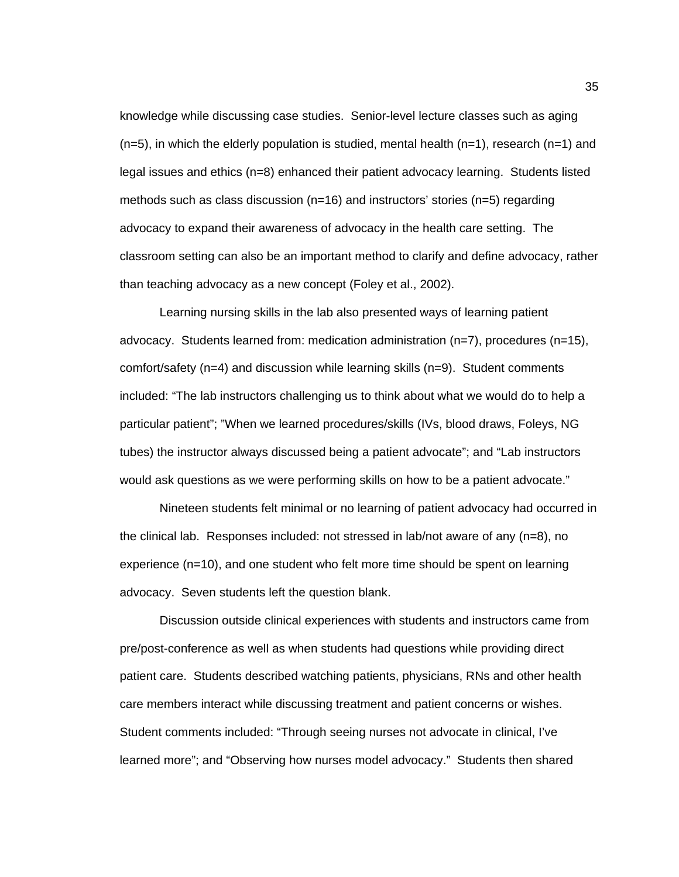knowledge while discussing case studies. Senior-level lecture classes such as aging  $(n=5)$ , in which the elderly population is studied, mental health  $(n=1)$ , research  $(n=1)$  and legal issues and ethics (n=8) enhanced their patient advocacy learning. Students listed methods such as class discussion (n=16) and instructors' stories (n=5) regarding advocacy to expand their awareness of advocacy in the health care setting. The classroom setting can also be an important method to clarify and define advocacy, rather than teaching advocacy as a new concept (Foley et al., 2002).

Learning nursing skills in the lab also presented ways of learning patient advocacy. Students learned from: medication administration (n=7), procedures (n=15), comfort/safety (n=4) and discussion while learning skills (n=9). Student comments included: "The lab instructors challenging us to think about what we would do to help a particular patient"; "When we learned procedures/skills (IVs, blood draws, Foleys, NG tubes) the instructor always discussed being a patient advocate"; and "Lab instructors would ask questions as we were performing skills on how to be a patient advocate."

 Nineteen students felt minimal or no learning of patient advocacy had occurred in the clinical lab. Responses included: not stressed in lab/not aware of any (n=8), no experience (n=10), and one student who felt more time should be spent on learning advocacy. Seven students left the question blank.

Discussion outside clinical experiences with students and instructors came from pre/post-conference as well as when students had questions while providing direct patient care. Students described watching patients, physicians, RNs and other health care members interact while discussing treatment and patient concerns or wishes. Student comments included: "Through seeing nurses not advocate in clinical, I've learned more"; and "Observing how nurses model advocacy." Students then shared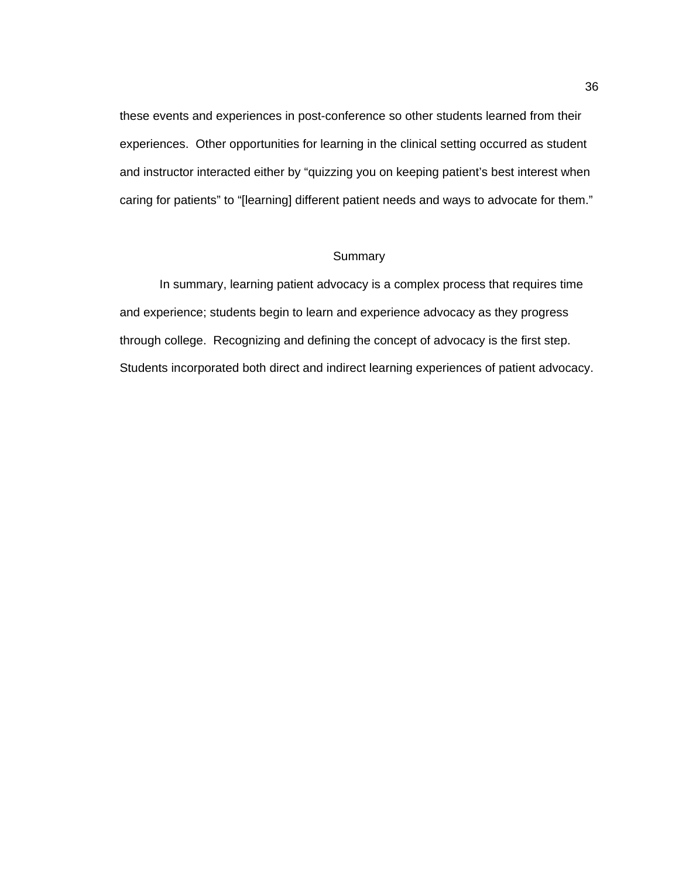these events and experiences in post-conference so other students learned from their experiences. Other opportunities for learning in the clinical setting occurred as student and instructor interacted either by "quizzing you on keeping patient's best interest when caring for patients" to "[learning] different patient needs and ways to advocate for them."

## **Summary**

 In summary, learning patient advocacy is a complex process that requires time and experience; students begin to learn and experience advocacy as they progress through college. Recognizing and defining the concept of advocacy is the first step. Students incorporated both direct and indirect learning experiences of patient advocacy.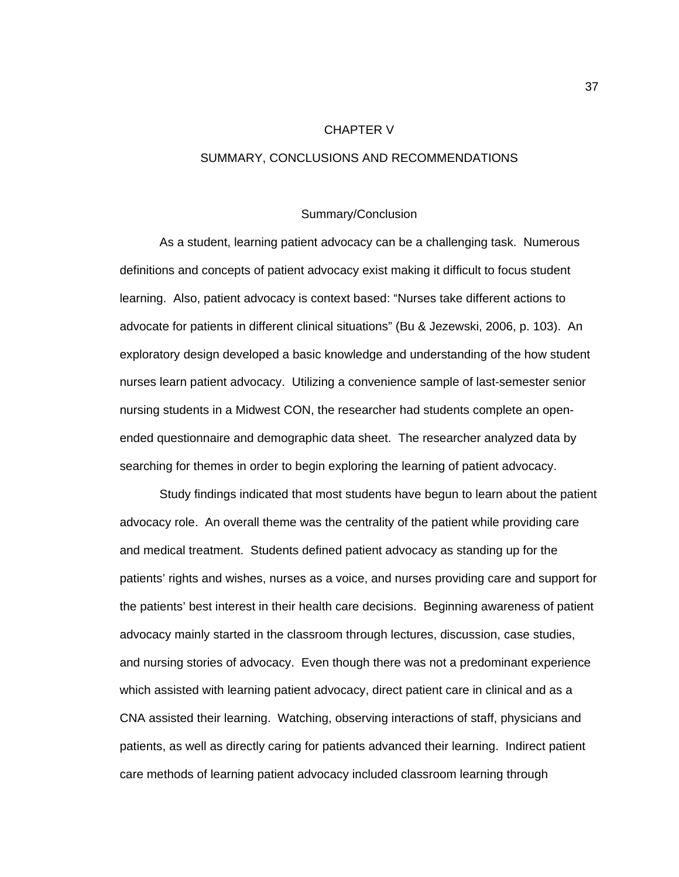### CHAPTER V

## SUMMARY, CONCLUSIONS AND RECOMMENDATIONS

### Summary/Conclusion

 As a student, learning patient advocacy can be a challenging task. Numerous definitions and concepts of patient advocacy exist making it difficult to focus student learning. Also, patient advocacy is context based: "Nurses take different actions to advocate for patients in different clinical situations" (Bu & Jezewski, 2006, p. 103). An exploratory design developed a basic knowledge and understanding of the how student nurses learn patient advocacy. Utilizing a convenience sample of last-semester senior nursing students in a Midwest CON, the researcher had students complete an openended questionnaire and demographic data sheet. The researcher analyzed data by searching for themes in order to begin exploring the learning of patient advocacy.

 Study findings indicated that most students have begun to learn about the patient advocacy role. An overall theme was the centrality of the patient while providing care and medical treatment. Students defined patient advocacy as standing up for the patients' rights and wishes, nurses as a voice, and nurses providing care and support for the patients' best interest in their health care decisions. Beginning awareness of patient advocacy mainly started in the classroom through lectures, discussion, case studies, and nursing stories of advocacy. Even though there was not a predominant experience which assisted with learning patient advocacy, direct patient care in clinical and as a CNA assisted their learning. Watching, observing interactions of staff, physicians and patients, as well as directly caring for patients advanced their learning. Indirect patient care methods of learning patient advocacy included classroom learning through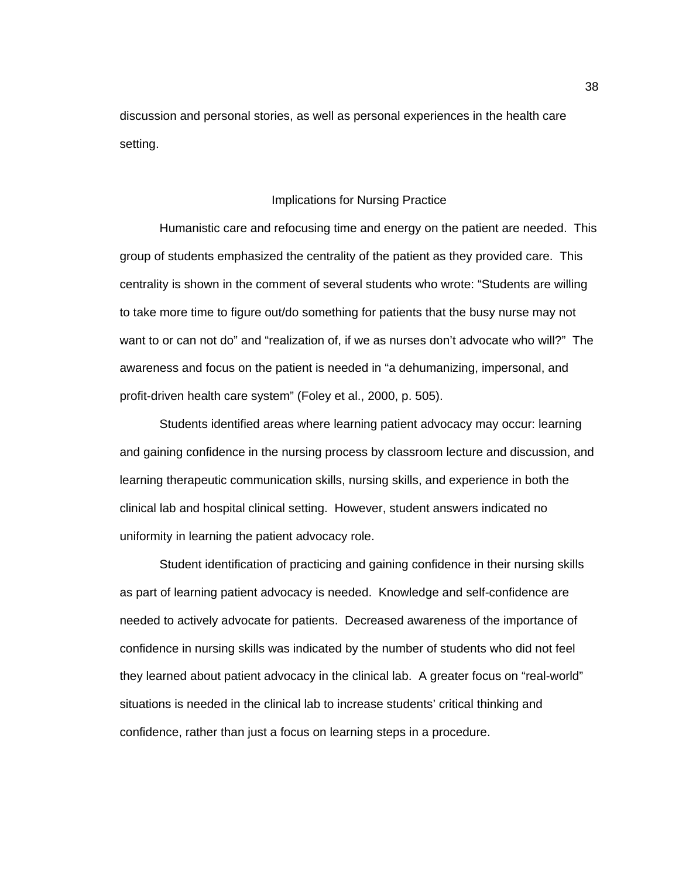discussion and personal stories, as well as personal experiences in the health care setting.

## Implications for Nursing Practice

 Humanistic care and refocusing time and energy on the patient are needed. This group of students emphasized the centrality of the patient as they provided care. This centrality is shown in the comment of several students who wrote: "Students are willing to take more time to figure out/do something for patients that the busy nurse may not want to or can not do" and "realization of, if we as nurses don't advocate who will?" The awareness and focus on the patient is needed in "a dehumanizing, impersonal, and profit-driven health care system" (Foley et al., 2000, p. 505).

 Students identified areas where learning patient advocacy may occur: learning and gaining confidence in the nursing process by classroom lecture and discussion, and learning therapeutic communication skills, nursing skills, and experience in both the clinical lab and hospital clinical setting. However, student answers indicated no uniformity in learning the patient advocacy role.

 Student identification of practicing and gaining confidence in their nursing skills as part of learning patient advocacy is needed. Knowledge and self-confidence are needed to actively advocate for patients. Decreased awareness of the importance of confidence in nursing skills was indicated by the number of students who did not feel they learned about patient advocacy in the clinical lab. A greater focus on "real-world" situations is needed in the clinical lab to increase students' critical thinking and confidence, rather than just a focus on learning steps in a procedure.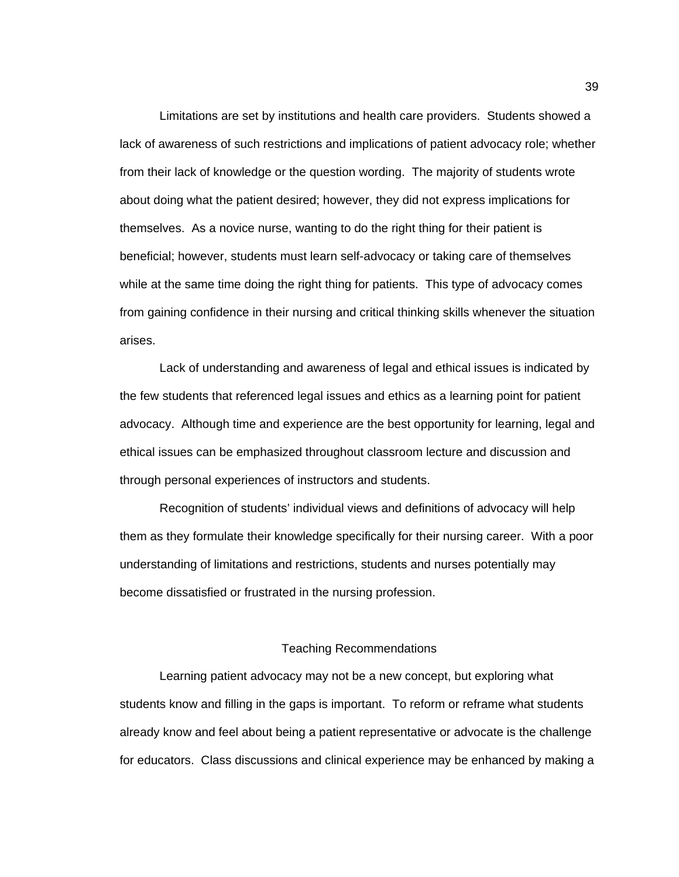Limitations are set by institutions and health care providers. Students showed a lack of awareness of such restrictions and implications of patient advocacy role; whether from their lack of knowledge or the question wording. The majority of students wrote about doing what the patient desired; however, they did not express implications for themselves. As a novice nurse, wanting to do the right thing for their patient is beneficial; however, students must learn self-advocacy or taking care of themselves while at the same time doing the right thing for patients. This type of advocacy comes from gaining confidence in their nursing and critical thinking skills whenever the situation arises.

 Lack of understanding and awareness of legal and ethical issues is indicated by the few students that referenced legal issues and ethics as a learning point for patient advocacy. Although time and experience are the best opportunity for learning, legal and ethical issues can be emphasized throughout classroom lecture and discussion and through personal experiences of instructors and students.

Recognition of students' individual views and definitions of advocacy will help them as they formulate their knowledge specifically for their nursing career. With a poor understanding of limitations and restrictions, students and nurses potentially may become dissatisfied or frustrated in the nursing profession.

### Teaching Recommendations

 Learning patient advocacy may not be a new concept, but exploring what students know and filling in the gaps is important. To reform or reframe what students already know and feel about being a patient representative or advocate is the challenge for educators. Class discussions and clinical experience may be enhanced by making a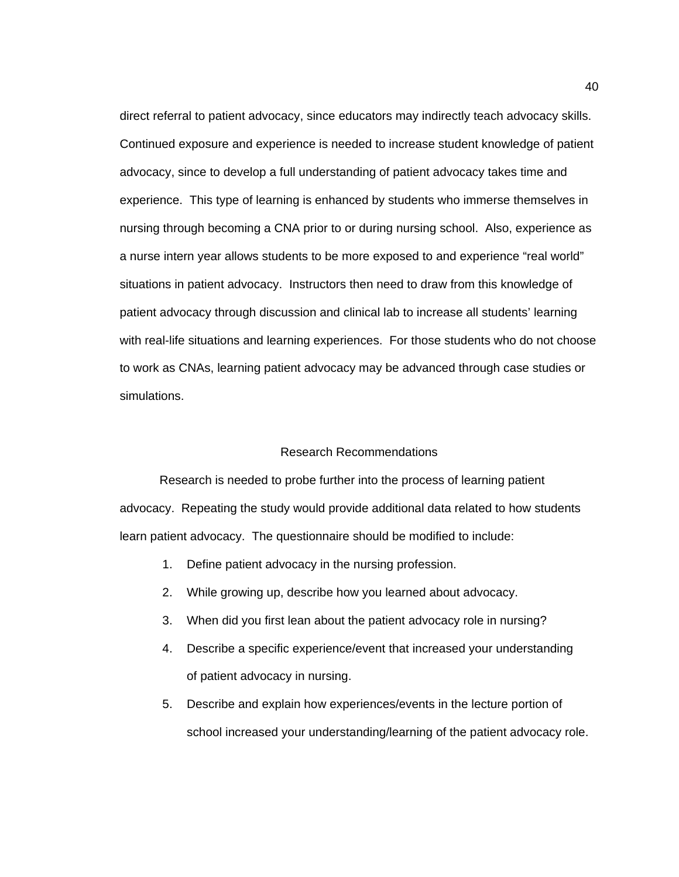direct referral to patient advocacy, since educators may indirectly teach advocacy skills. Continued exposure and experience is needed to increase student knowledge of patient advocacy, since to develop a full understanding of patient advocacy takes time and experience. This type of learning is enhanced by students who immerse themselves in nursing through becoming a CNA prior to or during nursing school. Also, experience as a nurse intern year allows students to be more exposed to and experience "real world" situations in patient advocacy. Instructors then need to draw from this knowledge of patient advocacy through discussion and clinical lab to increase all students' learning with real-life situations and learning experiences. For those students who do not choose to work as CNAs, learning patient advocacy may be advanced through case studies or simulations.

### Research Recommendations

 Research is needed to probe further into the process of learning patient advocacy. Repeating the study would provide additional data related to how students learn patient advocacy. The questionnaire should be modified to include:

- 1. Define patient advocacy in the nursing profession.
- 2. While growing up, describe how you learned about advocacy.
- 3. When did you first lean about the patient advocacy role in nursing?
- 4. Describe a specific experience/event that increased your understanding of patient advocacy in nursing.
- 5. Describe and explain how experiences/events in the lecture portion of school increased your understanding/learning of the patient advocacy role.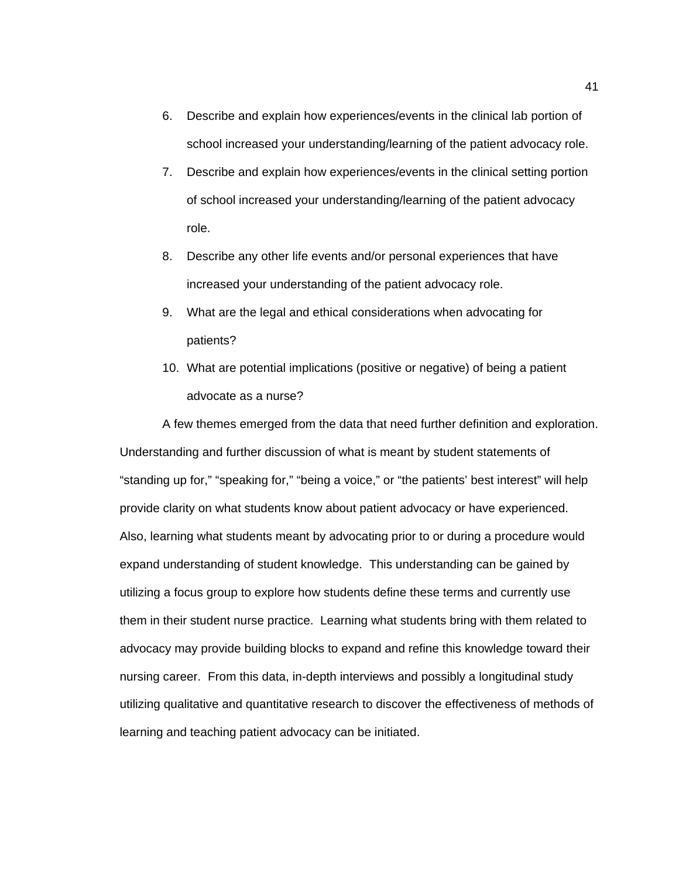- 6. Describe and explain how experiences/events in the clinical lab portion of school increased your understanding/learning of the patient advocacy role.
- 7. Describe and explain how experiences/events in the clinical setting portion of school increased your understanding/learning of the patient advocacy role.
- 8. Describe any other life events and/or personal experiences that have increased your understanding of the patient advocacy role.
- 9. What are the legal and ethical considerations when advocating for patients?
- 10. What are potential implications (positive or negative) of being a patient advocate as a nurse?

 A few themes emerged from the data that need further definition and exploration. Understanding and further discussion of what is meant by student statements of "standing up for," "speaking for," "being a voice," or "the patients' best interest" will help provide clarity on what students know about patient advocacy or have experienced. Also, learning what students meant by advocating prior to or during a procedure would expand understanding of student knowledge. This understanding can be gained by utilizing a focus group to explore how students define these terms and currently use them in their student nurse practice. Learning what students bring with them related to advocacy may provide building blocks to expand and refine this knowledge toward their nursing career. From this data, in-depth interviews and possibly a longitudinal study utilizing qualitative and quantitative research to discover the effectiveness of methods of learning and teaching patient advocacy can be initiated.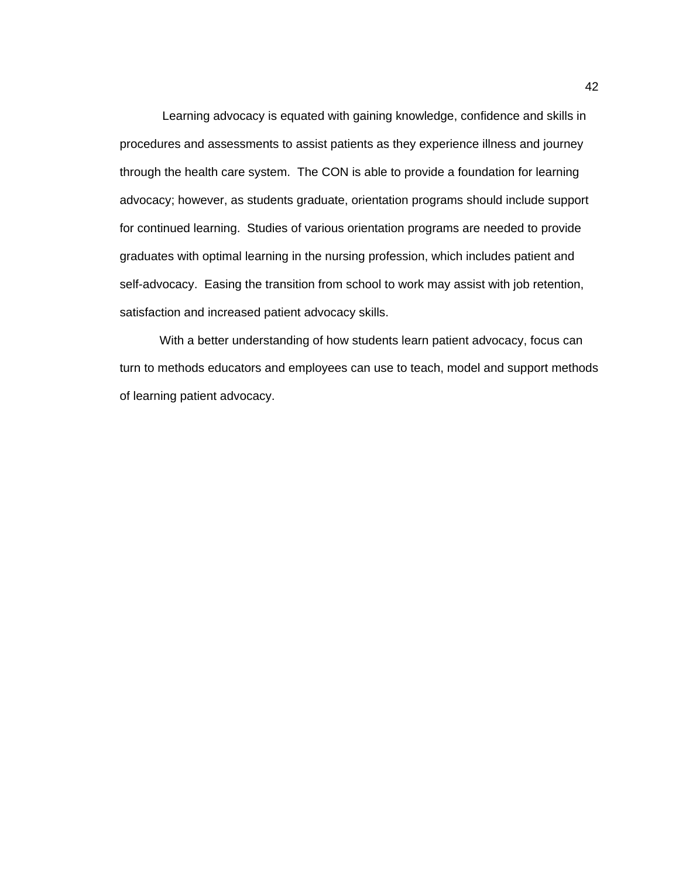Learning advocacy is equated with gaining knowledge, confidence and skills in procedures and assessments to assist patients as they experience illness and journey through the health care system. The CON is able to provide a foundation for learning advocacy; however, as students graduate, orientation programs should include support for continued learning. Studies of various orientation programs are needed to provide graduates with optimal learning in the nursing profession, which includes patient and self-advocacy. Easing the transition from school to work may assist with job retention, satisfaction and increased patient advocacy skills.

With a better understanding of how students learn patient advocacy, focus can turn to methods educators and employees can use to teach, model and support methods of learning patient advocacy.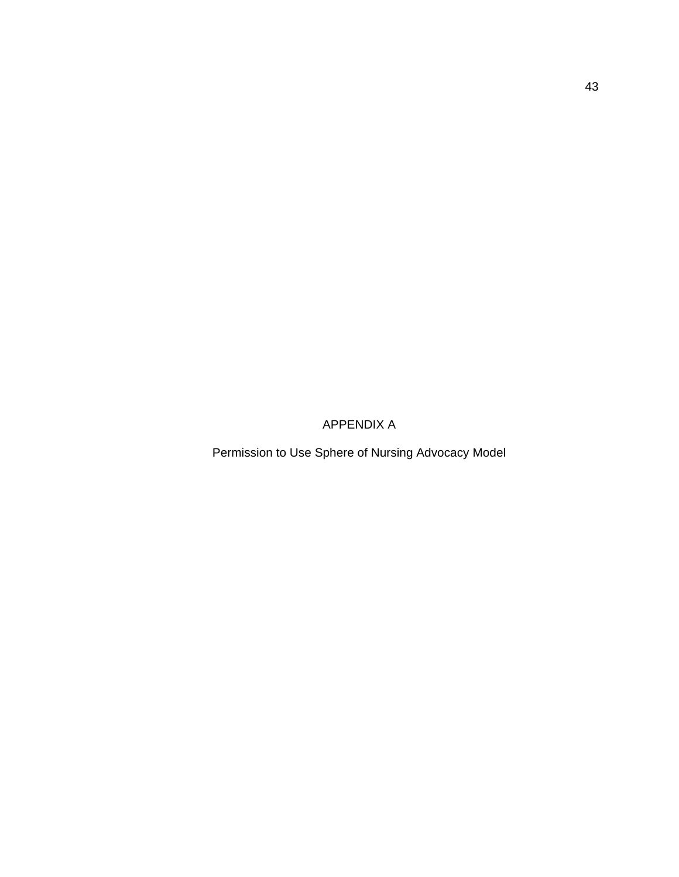APPENDIX A

Permission to Use Sphere of Nursing Advocacy Model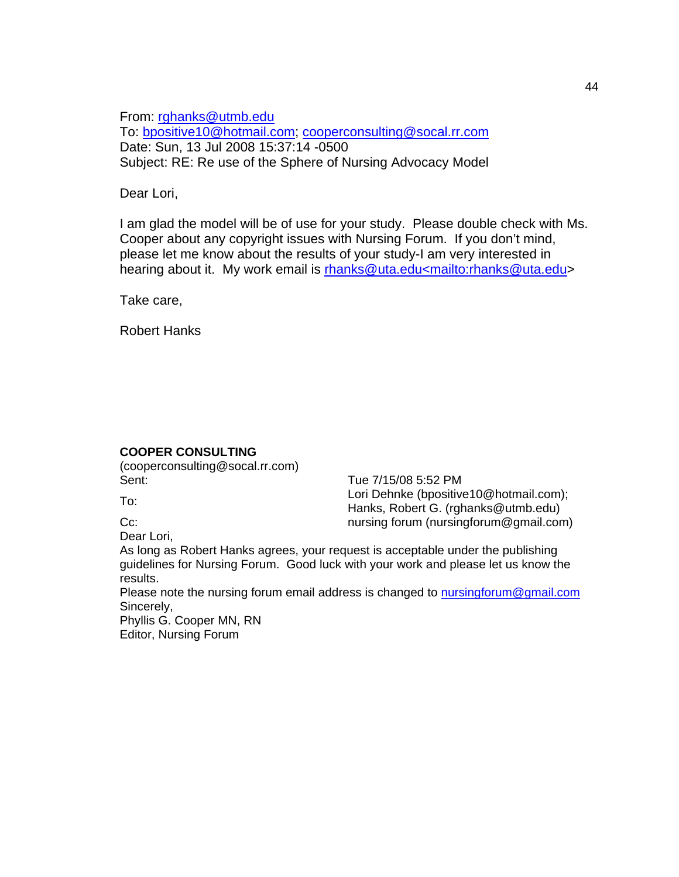From: [rghanks@utmb.edu](mailto:rghanks@utmb.edu) To: [bpositive10@hotmail.com](mailto:bpositive10@hotmail.com); [cooperconsulting@socal.rr.com](mailto:cooperconsulting@socal.rr.com) Date: Sun, 13 Jul 2008 15:37:14 -0500 Subject: RE: Re use of the Sphere of Nursing Advocacy Model

## Dear Lori,

I am glad the model will be of use for your study. Please double check with Ms. Cooper about any copyright issues with Nursing Forum. If you don't mind, please let me know about the results of your study-I am very interested in hearing about it. My work email is [rhanks@uta.edu<mailto:rhanks@uta.edu](mailto:rhanks@uta.edu%3Cmailto:rhanks@uta.edu)>

Take care,

Robert Hanks

## **COOPER CONSULTING**

(cooperconsulting@socal.rr.com) Sent: Sent: Sent: Tue 7/15/08 5:52 PM

To: Lori Dehnke (bpositive10@hotmail.com); Hanks, Robert G. (rghanks@utmb.edu) Cc: complete the contract of the nursing forum (nursingforum@gmail.com)

Dear Lori,

As long as Robert Hanks agrees, your request is acceptable under the publishing guidelines for Nursing Forum. Good luck with your work and please let us know the results.

Please note the nursing forum email address is changed to [nursingforum@gmail.com](mailto:nursingforum@gmail.com) Sincerely,

Phyllis G. Cooper MN, RN Editor, Nursing Forum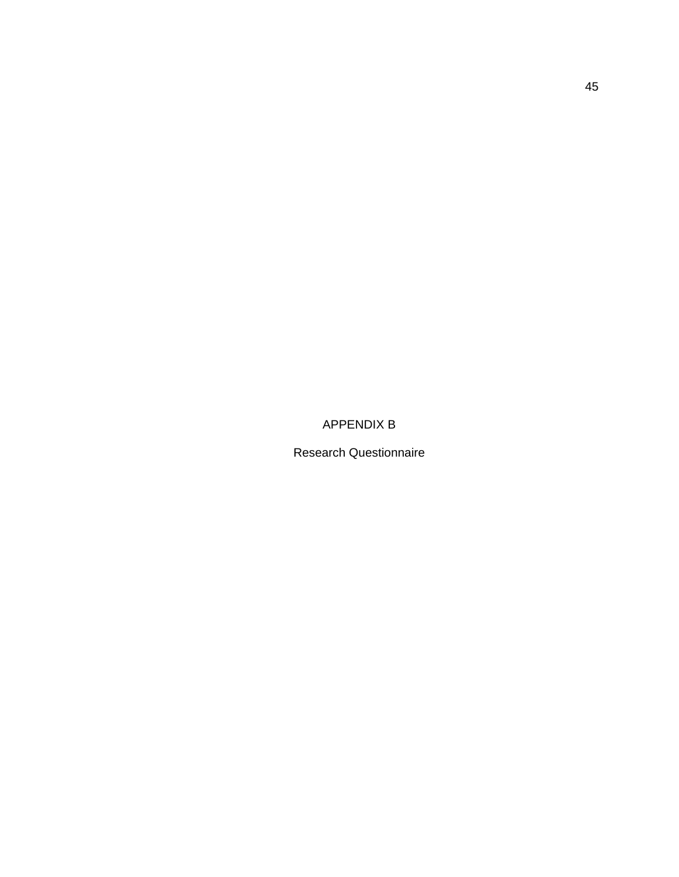APPENDIX B

Research Questionnaire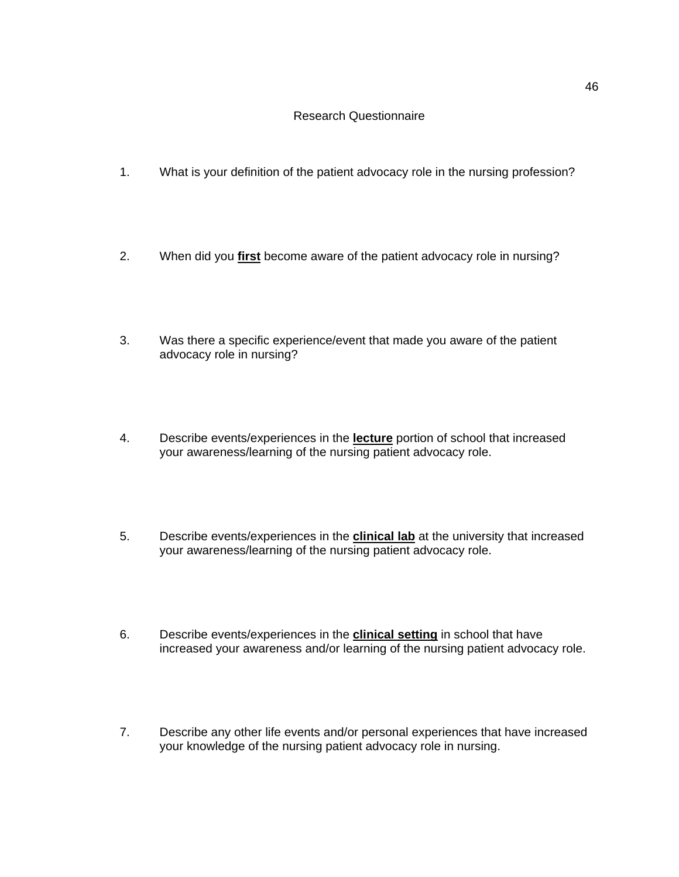## Research Questionnaire

- 1. What is your definition of the patient advocacy role in the nursing profession?
- 2. When did you **first** become aware of the patient advocacy role in nursing?
- 3. Was there a specific experience/event that made you aware of the patient advocacy role in nursing?
- 4. Describe events/experiences in the **lecture** portion of school that increased your awareness/learning of the nursing patient advocacy role.
- 5. Describe events/experiences in the **clinical lab** at the university that increased your awareness/learning of the nursing patient advocacy role.
- 6. Describe events/experiences in the **clinical setting** in school that have increased your awareness and/or learning of the nursing patient advocacy role.
- 7. Describe any other life events and/or personal experiences that have increased your knowledge of the nursing patient advocacy role in nursing.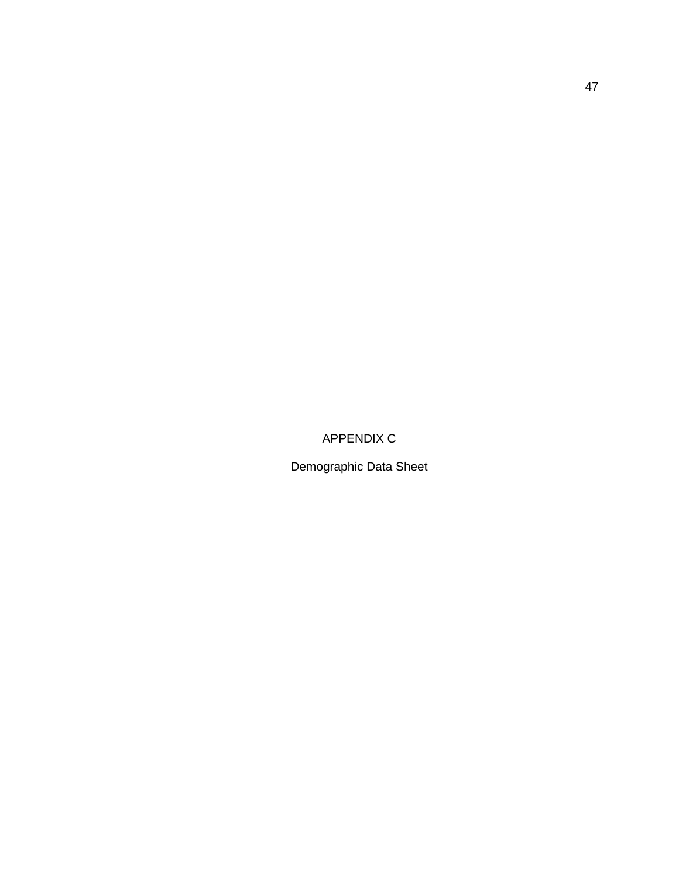APPENDIX C

Demographic Data Sheet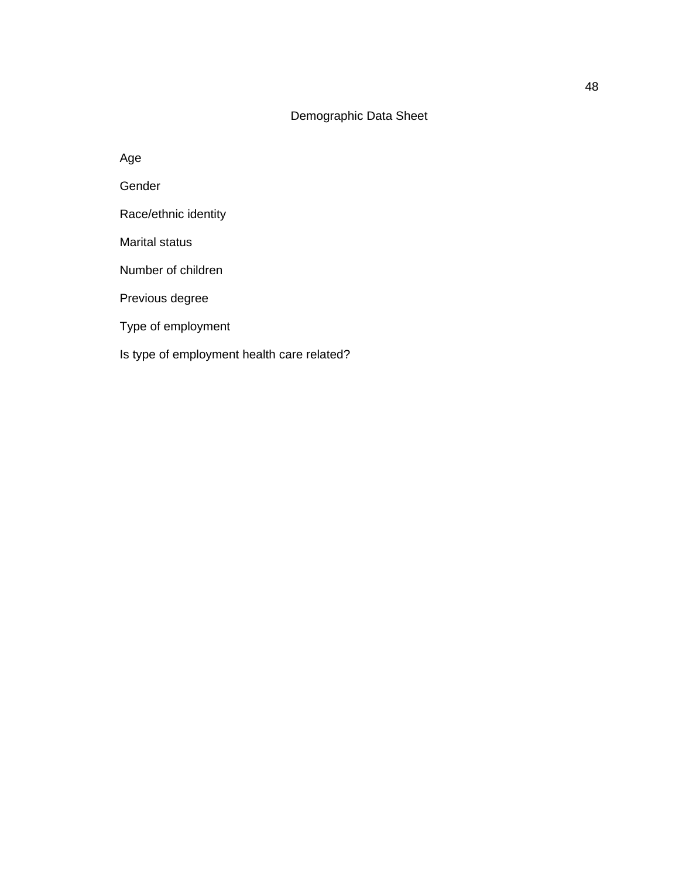## Demographic Data Sheet

Age

Gender

Race/ethnic identity

Marital status

Number of children

Previous degree

Type of employment

Is type of employment health care related?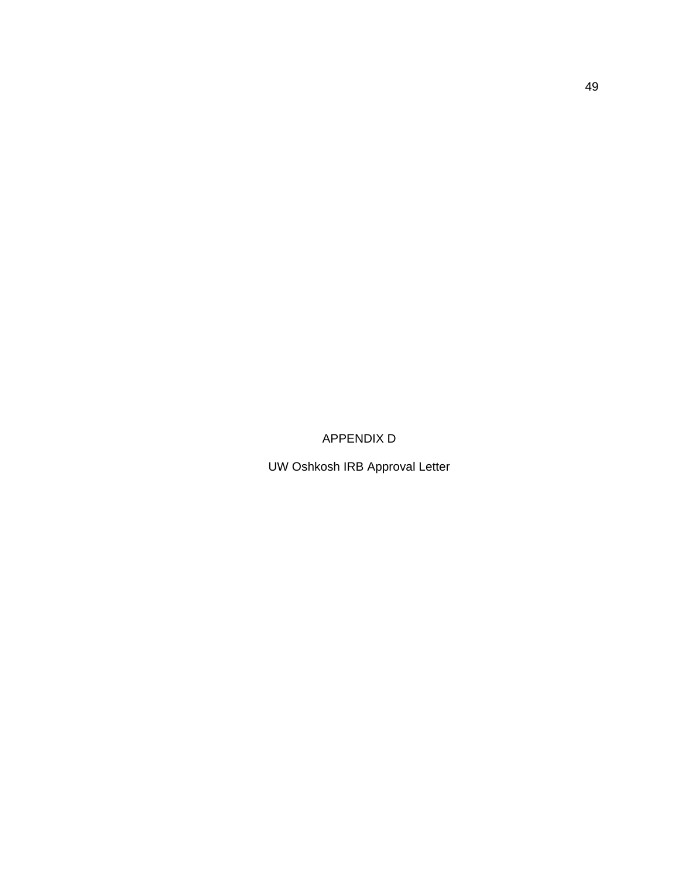APPENDIX D

UW Oshkosh IRB Approval Letter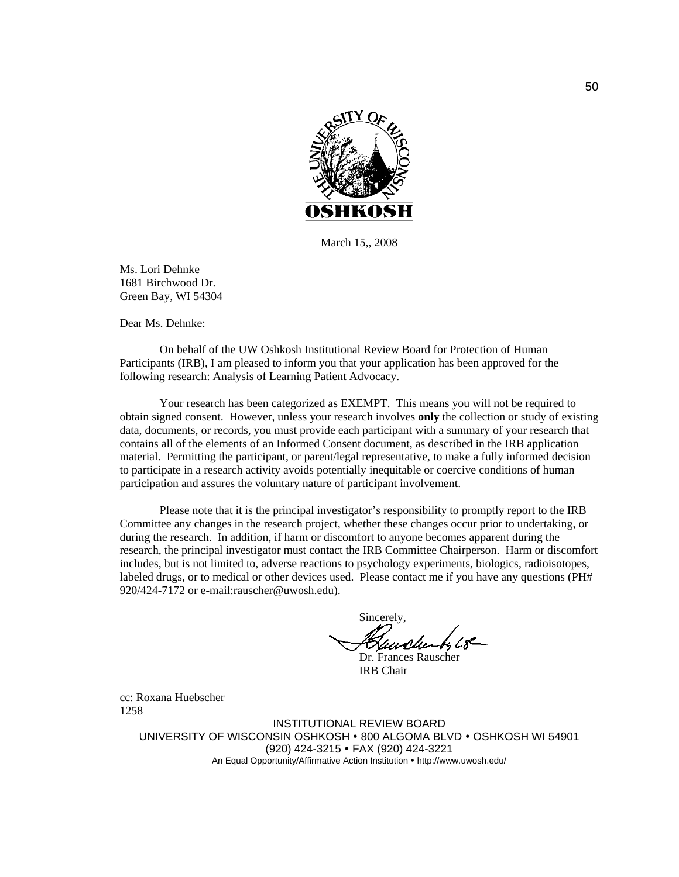

March 15,, 2008

Ms. Lori Dehnke 1681 Birchwood Dr. Green Bay, WI 54304

Dear Ms. Dehnke:

 On behalf of the UW Oshkosh Institutional Review Board for Protection of Human Participants (IRB), I am pleased to inform you that your application has been approved for the following research: Analysis of Learning Patient Advocacy.

 Your research has been categorized as EXEMPT. This means you will not be required to obtain signed consent. However, unless your research involves **only** the collection or study of existing data, documents, or records, you must provide each participant with a summary of your research that contains all of the elements of an Informed Consent document, as described in the IRB application material. Permitting the participant, or parent/legal representative, to make a fully informed decision to participate in a research activity avoids potentially inequitable or coercive conditions of human participation and assures the voluntary nature of participant involvement.

 Please note that it is the principal investigator's responsibility to promptly report to the IRB Committee any changes in the research project, whether these changes occur prior to undertaking, or during the research. In addition, if harm or discomfort to anyone becomes apparent during the research, the principal investigator must contact the IRB Committee Chairperson. Harm or discomfort includes, but is not limited to, adverse reactions to psychology experiments, biologics, radioisotopes, labeled drugs, or to medical or other devices used. Please contact me if you have any questions (PH# 920/424-7172 or e-mail:rauscher@uwosh.edu).

 Sincerely, undu Dr. Frances Rauscher

IRB Chair

cc: Roxana Huebscher 1258

> INSTITUTIONAL REVIEW BOARD UNIVERSITY OF WISCONSIN OSHKOSH • 800 ALGOMA BLVD • OSHKOSH WI 54901 (920) 424-3215 • FAX (920) 424-3221 An Equal Opportunity/Affirmative Action Institution • http://www.uwosh.edu/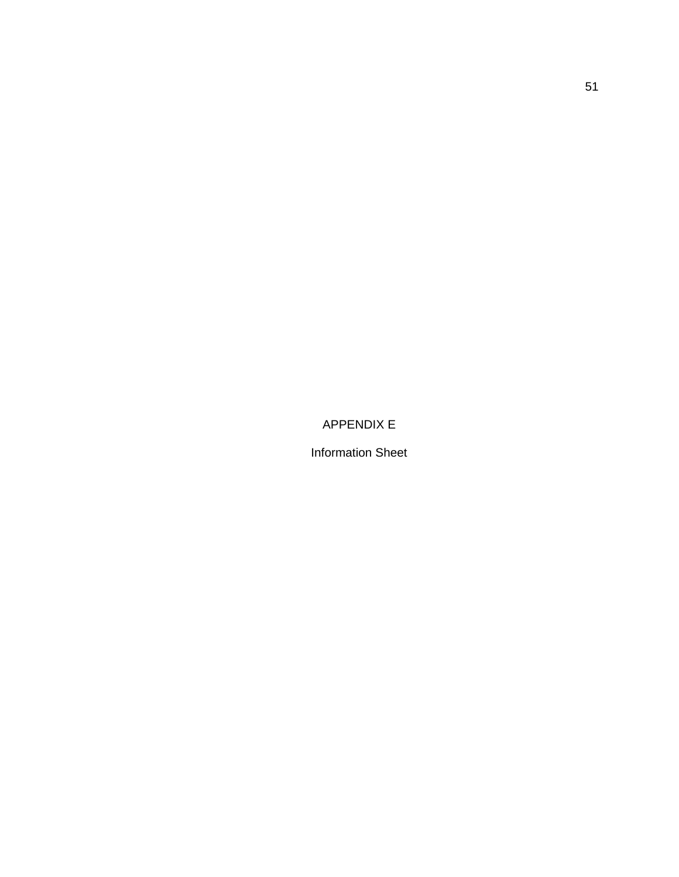APPENDIX E

Information Sheet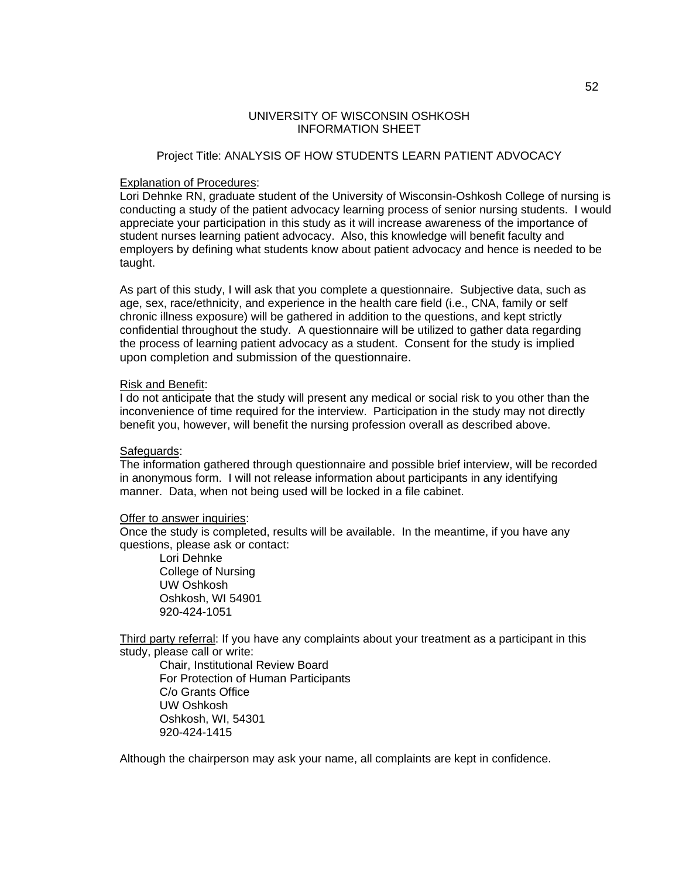## UNIVERSITY OF WISCONSIN OSHKOSH INFORMATION SHEET

#### Project Title: ANALYSIS OF HOW STUDENTS LEARN PATIENT ADVOCACY

#### Explanation of Procedures:

Lori Dehnke RN, graduate student of the University of Wisconsin-Oshkosh College of nursing is conducting a study of the patient advocacy learning process of senior nursing students. I would appreciate your participation in this study as it will increase awareness of the importance of student nurses learning patient advocacy. Also, this knowledge will benefit faculty and employers by defining what students know about patient advocacy and hence is needed to be taught.

As part of this study, I will ask that you complete a questionnaire. Subjective data, such as age, sex, race/ethnicity, and experience in the health care field (i.e., CNA, family or self chronic illness exposure) will be gathered in addition to the questions, and kept strictly confidential throughout the study. A questionnaire will be utilized to gather data regarding the process of learning patient advocacy as a student. Consent for the study is implied upon completion and submission of the questionnaire.

#### Risk and Benefit:

I do not anticipate that the study will present any medical or social risk to you other than the inconvenience of time required for the interview. Participation in the study may not directly benefit you, however, will benefit the nursing profession overall as described above.

#### Safeguards:

The information gathered through questionnaire and possible brief interview, will be recorded in anonymous form. I will not release information about participants in any identifying manner. Data, when not being used will be locked in a file cabinet.

#### Offer to answer inquiries:

Once the study is completed, results will be available. In the meantime, if you have any questions, please ask or contact:

 Lori Dehnke College of Nursing UW Oshkosh Oshkosh, WI 54901 920-424-1051

Third party referral: If you have any complaints about your treatment as a participant in this study, please call or write:

 Chair, Institutional Review Board For Protection of Human Participants C/o Grants Office UW Oshkosh Oshkosh, WI, 54301 920-424-1415

Although the chairperson may ask your name, all complaints are kept in confidence.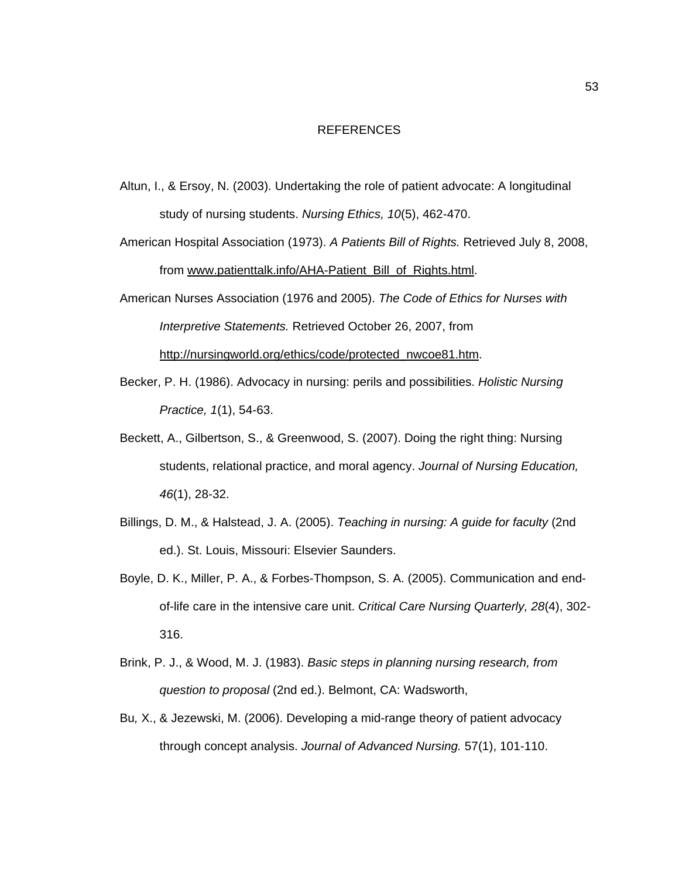### REFERENCES

- Altun, I., & Ersoy, N. (2003). Undertaking the role of patient advocate: A longitudinal study of nursing students. *Nursing Ethics, 10*(5), 462-470.
- American Hospital Association (1973). *A Patients Bill of Rights.* Retrieved July 8, 2008, from www.patienttalk.info/AHA-Patient\_Bill\_of\_Rights.html.
- American Nurses Association (1976 and 2005). *The Code of Ethics for Nurses with Interpretive Statements.* Retrieved October 26, 2007, from http://nursingworld.org/ethics/code/protected\_nwcoe81.htm.
- Becker, P. H. (1986). Advocacy in nursing: perils and possibilities. *Holistic Nursing Practice, 1*(1), 54-63.
- Beckett, A., Gilbertson, S., & Greenwood, S. (2007). Doing the right thing: Nursing students, relational practice, and moral agency. *Journal of Nursing Education, 46*(1), 28-32.
- Billings, D. M., & Halstead, J. A. (2005). *Teaching in nursing: A guide for faculty* (2nd ed.). St. Louis, Missouri: Elsevier Saunders.
- Boyle, D. K., Miller, P. A., & Forbes-Thompson, S. A. (2005). Communication and endof-life care in the intensive care unit. *Critical Care Nursing Quarterly, 28*(4), 302- 316.
- Brink, P. J., & Wood, M. J. (1983). *Basic steps in planning nursing research, from question to proposal* (2nd ed.). Belmont, CA: Wadsworth,
- Bu*,* X., & Jezewski, M. (2006). Developing a mid-range theory of patient advocacy through concept analysis. *Journal of Advanced Nursing.* 57(1), 101-110.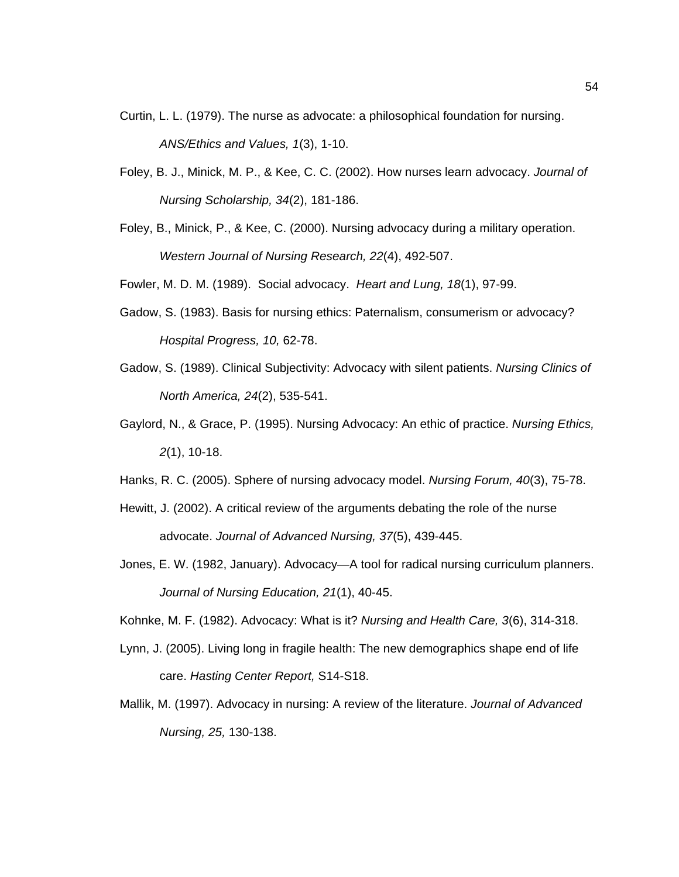- Curtin, L. L. (1979). The nurse as advocate: a philosophical foundation for nursing. *ANS/Ethics and Values, 1*(3), 1-10.
- Foley, B. J., Minick, M. P., & Kee, C. C. (2002). How nurses learn advocacy. *Journal of Nursing Scholarship, 34*(2), 181-186.
- Foley, B., Minick, P., & Kee, C. (2000). Nursing advocacy during a military operation. *Western Journal of Nursing Research, 22*(4), 492-507.
- Fowler, M. D. M. (1989). Social advocacy. *Heart and Lung, 18*(1), 97-99.
- Gadow, S. (1983). Basis for nursing ethics: Paternalism, consumerism or advocacy? *Hospital Progress, 10,* 62-78.
- Gadow, S. (1989). Clinical Subjectivity: Advocacy with silent patients. *Nursing Clinics of North America, 24*(2), 535-541.
- Gaylord, N., & Grace, P. (1995). Nursing Advocacy: An ethic of practice. *Nursing Ethics, 2*(1), 10-18.
- Hanks, R. C. (2005). Sphere of nursing advocacy model. *Nursing Forum, 40*(3), 75-78.
- Hewitt, J. (2002). A critical review of the arguments debating the role of the nurse advocate. *Journal of Advanced Nursing, 37*(5), 439-445.
- Jones, E. W. (1982, January). Advocacy—A tool for radical nursing curriculum planners. *Journal of Nursing Education, 21*(1), 40-45.
- Kohnke, M. F. (1982). Advocacy: What is it? *Nursing and Health Care, 3*(6), 314-318.
- Lynn, J. (2005). Living long in fragile health: The new demographics shape end of life care. *Hasting Center Report,* S14-S18.
- Mallik, M. (1997). Advocacy in nursing: A review of the literature. *Journal of Advanced Nursing, 25,* 130-138.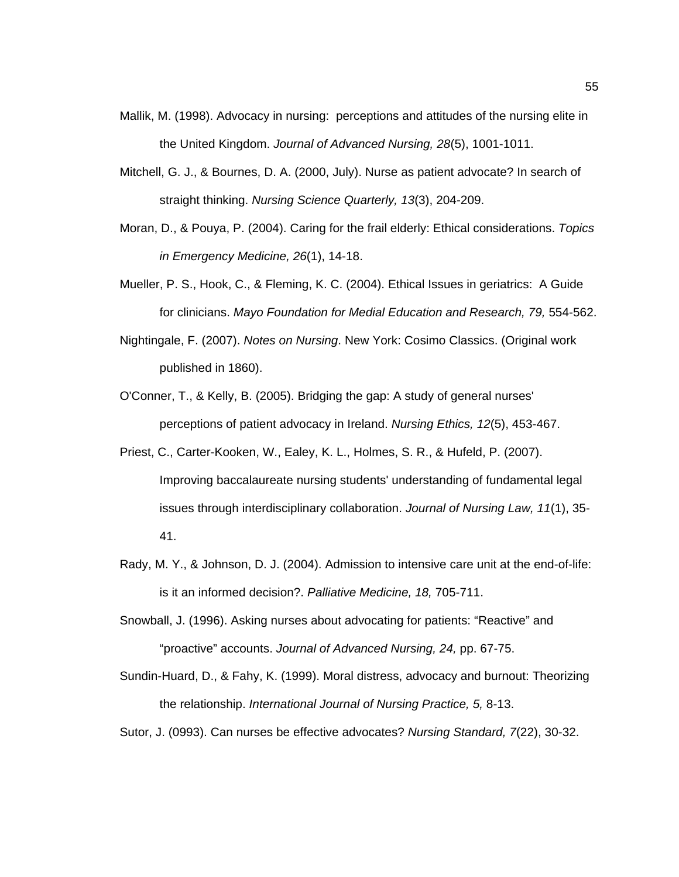- Mallik, M. (1998). Advocacy in nursing: perceptions and attitudes of the nursing elite in the United Kingdom. *Journal of Advanced Nursing, 28*(5), 1001-1011.
- Mitchell, G. J., & Bournes, D. A. (2000, July). Nurse as patient advocate? In search of straight thinking. *Nursing Science Quarterly, 13*(3), 204-209.
- Moran, D., & Pouya, P. (2004). Caring for the frail elderly: Ethical considerations. *Topics in Emergency Medicine, 26*(1), 14-18.
- Mueller, P. S., Hook, C., & Fleming, K. C. (2004). Ethical Issues in geriatrics: A Guide for clinicians. *Mayo Foundation for Medial Education and Research, 79, 554-562.*
- Nightingale, F. (2007). *Notes on Nursing*. New York: Cosimo Classics. (Original work published in 1860).
- O'Conner, T., & Kelly, B. (2005). Bridging the gap: A study of general nurses' perceptions of patient advocacy in Ireland. *Nursing Ethics, 12*(5), 453-467.
- Priest, C., Carter-Kooken, W., Ealey, K. L., Holmes, S. R., & Hufeld, P. (2007). Improving baccalaureate nursing students' understanding of fundamental legal issues through interdisciplinary collaboration. *Journal of Nursing Law, 11*(1), 35- 41.
- Rady, M. Y., & Johnson, D. J. (2004). Admission to intensive care unit at the end-of-life: is it an informed decision?. *Palliative Medicine, 18,* 705-711.
- Snowball, J. (1996). Asking nurses about advocating for patients: "Reactive" and "proactive" accounts. *Journal of Advanced Nursing, 24,* pp. 67-75.

Sundin-Huard, D., & Fahy, K. (1999). Moral distress, advocacy and burnout: Theorizing the relationship. *International Journal of Nursing Practice, 5,* 8-13.

Sutor, J. (0993). Can nurses be effective advocates? *Nursing Standard, 7*(22), 30-32.